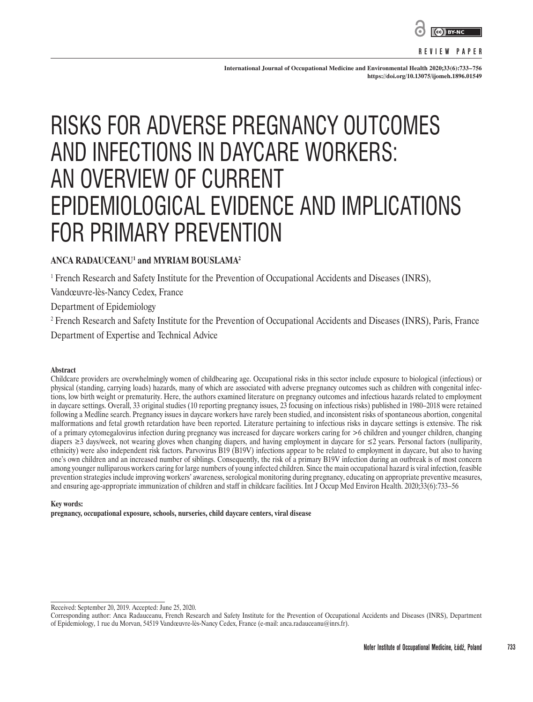

**REVIEW PAPER**

**International Journal of Occupational Medicine and Environmental Health 2020;33(6):733–756 <https://doi.org/10.13075/ijomeh.1896.01549>**

# RISKS FOR ADVERSE PREGNANCY OUTCOMES AND INFECTIONS IN DAYCARE WORKERS: AN OVERVIEW OF CURRENT EPIDEMIOLOGICAL EVIDENCE AND IMPLICATIONS FOR PRIMARY PREVENTION

# **ANCA RADAUCEANU1 and MYRIAM BOUSLAMA2**

1 French Research and Safety Institute for the Prevention of Occupational Accidents and Diseases (INRS),

Vandœuvre-lès-Nancy Cedex, France

Department of Epidemiology

2 French Research and Safety Institute for the Prevention of Occupational Accidents and Diseases (INRS), Paris, France Department of Expertise and Technical Advice

#### **Abstract**

Childcare providers are overwhelmingly women of childbearing age. Occupational risks in this sector include exposure to biological (infectious) or physical (standing, carrying loads) hazards, many of which are associated with adverse pregnancy outcomes such as children with congenital infections, low birth weight or prematurity. Here, the authors examined literature on pregnancy outcomes and infectious hazards related to employment in daycare settings. Overall, 33 original studies (10 reporting pregnancy issues, 23 focusing on infectious risks) published in 1980–2018 were retained following a Medline search. Pregnancy issues in daycare workers have rarely been studied, and inconsistent risks of spontaneous abortion, congenital malformations and fetal growth retardation have been reported. Literature pertaining to infectious risks in daycare settings is extensive. The risk of a primary cytomegalovirus infection during pregnancy was increased for daycare workers caring for >6 children and younger children, changing diapers ≥3 days/week, not wearing gloves when changing diapers, and having employment in daycare for ≤2 years. Personal factors (nulliparity, ethnicity) were also independent risk factors. Parvovirus B19 (B19V) infections appear to be related to employment in daycare, but also to having one's own children and an increased number of siblings. Consequently, the risk of a primary B19V infection during an outbreak is of most concern among younger nulliparous workers caring for large numbers of young infected children. Since the main occupational hazard is viral infection, feasible prevention strategies include improving workers' awareness, serological monitoring during pregnancy, educating on appropriate preventive measures, and ensuring age-appropriate immunization of children and staff in childcare facilities. Int J Occup Med Environ Health. 2020;33(6):733–56

#### **Key words:**

**pregnancy, occupational exposure, schools, nurseries, child daycare centers, viral disease**

Received: September 20, 2019. Accepted: June 25, 2020.

Corresponding author: Anca Radauceanu, French Research and Safety Institute for the Prevention of Occupational Accidents and Diseases (INRS), Department of Epidemiology, 1 rue du Morvan, 54519 Vandœuvre-lès-Nancy Cedex, France (e-mail: anca.radauceanu@inrs.fr).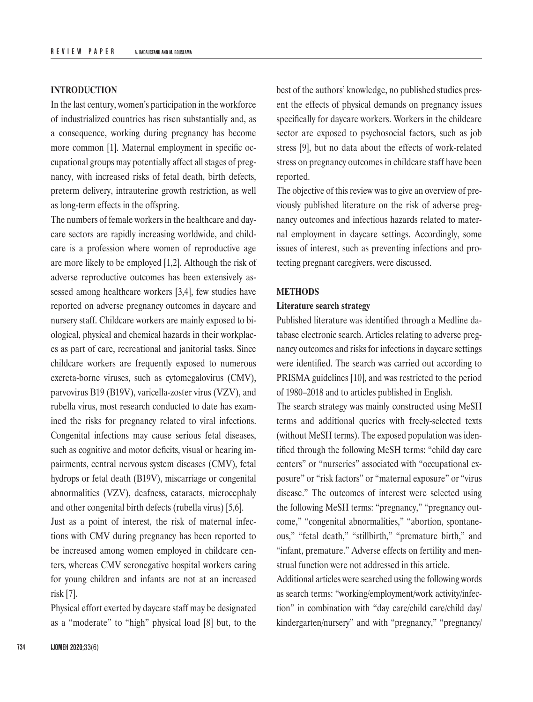#### **INTRODUCTION**

In the last century, women's participation in the workforce of industrialized countries has risen substantially and, as a consequence, working during pregnancy has become more common [1]. Maternal employment in specific occupational groups may potentially affect all stages of pregnancy, with increased risks of fetal death, birth defects, preterm delivery, intrauterine growth restriction, as well as long-term effects in the offspring.

The numbers of female workers in the healthcare and daycare sectors are rapidly increasing worldwide, and childcare is a profession where women of reproductive age are more likely to be employed [1,2]. Although the risk of adverse reproductive outcomes has been extensively assessed among healthcare workers [3,4], few studies have reported on adverse pregnancy outcomes in daycare and nursery staff. Childcare workers are mainly exposed to biological, physical and chemical hazards in their workplaces as part of care, recreational and janitorial tasks. Since childcare workers are frequently exposed to numerous excreta-borne viruses, such as cytomegalovirus (CMV), parvovirus B19 (B19V), varicella-zoster virus (VZV), and rubella virus, most research conducted to date has examined the risks for pregnancy related to viral infections. Congenital infections may cause serious fetal diseases, such as cognitive and motor deficits, visual or hearing impairments, central nervous system diseases (CMV), fetal hydrops or fetal death (B19V), miscarriage or congenital abnormalities (VZV), deafness, cataracts, microcephaly and other congenital birth defects (rubella virus) [5,6].

Just as a point of interest, the risk of maternal infections with CMV during pregnancy has been reported to be increased among women employed in childcare centers, whereas CMV seronegative hospital workers caring for young children and infants are not at an increased risk [7].

Physical effort exerted by daycare staff may be designated as a "moderate" to "high" physical load [8] but, to the best of the authors' knowledge, no published studies present the effects of physical demands on pregnancy issues specifically for daycare workers. Workers in the childcare sector are exposed to psychosocial factors, such as job stress [9], but no data about the effects of work-related stress on pregnancy outcomes in childcare staff have been reported.

The objective of this review was to give an overview of previously published literature on the risk of adverse pregnancy outcomes and infectious hazards related to maternal employment in daycare settings. Accordingly, some issues of interest, such as preventing infections and protecting pregnant caregivers, were discussed.

#### **METHODS**

#### **Literature search strategy**

Published literature was identified through a Medline database electronic search. Articles relating to adverse pregnancy outcomes and risks for infections in daycare settings were identified. The search was carried out according to PRISMA guidelines [10], and was restricted to the period of 1980–2018 and to articles published in English.

The search strategy was mainly constructed using MeSH terms and additional queries with freely-selected texts (without MeSH terms). The exposed population was identified through the following MeSH terms: "child day care centers" or "nurseries" associated with "occupational exposure" or "risk factors" or "maternal exposure" or "virus disease." The outcomes of interest were selected using the following MeSH terms: "pregnancy," "pregnancy outcome," "congenital abnormalities," "abortion, spontaneous," "fetal death," "stillbirth," "premature birth," and "infant, premature." Adverse effects on fertility and menstrual function were not addressed in this article.

Additional articles were searched using the following words as search terms: "working/employment/work activity/infection" in combination with "day care/child care/child day/ kindergarten/nursery" and with "pregnancy," "pregnancy/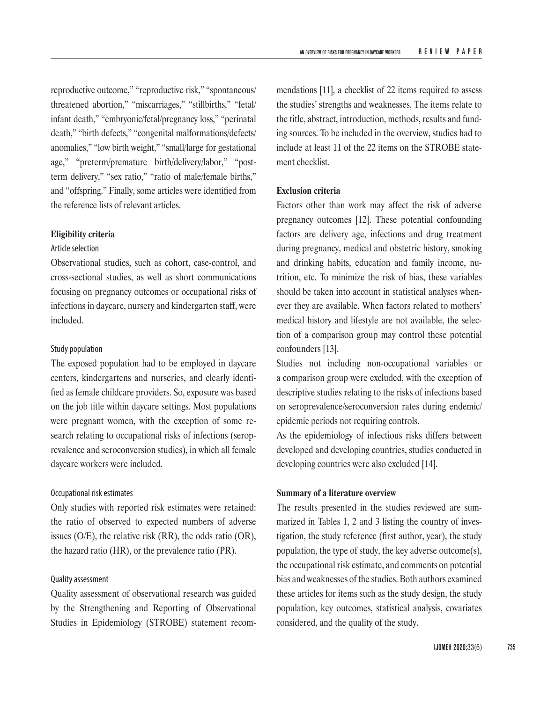reproductive outcome," "reproductive risk," "spontaneous/ threatened abortion," "miscarriages," "stillbirths," "fetal/ infant death," "embryonic/fetal/pregnancy loss," "perinatal death," "birth defects," "congenital malformations/defects/ anomalies," "low birth weight," "small/large for gestational age," "preterm/premature birth/delivery/labor," "postterm delivery," "sex ratio," "ratio of male/female births," and "offspring." Finally, some articles were identified from the reference lists of relevant articles.

## **Eligibility criteria**

# Article selection

Observational studies, such as cohort, case-control, and cross-sectional studies, as well as short communications focusing on pregnancy outcomes or occupational risks of infections in daycare, nursery and kindergarten staff, were included.

## Study population

The exposed population had to be employed in daycare centers, kindergartens and nurseries, and clearly identified as female childcare providers. So, exposure was based on the job title within daycare settings. Most populations were pregnant women, with the exception of some research relating to occupational risks of infections (seroprevalence and seroconversion studies), in which all female daycare workers were included.

#### Occupational risk estimates

Only studies with reported risk estimates were retained: the ratio of observed to expected numbers of adverse issues (O/E), the relative risk (RR), the odds ratio (OR), the hazard ratio (HR), or the prevalence ratio (PR).

#### Quality assessment

Quality assessment of observational research was guided by the Strengthening and Reporting of Observational Studies in Epidemiology (STROBE) statement recommendations [11], a checklist of 22 items required to assess the studies' strengths and weaknesses. The items relate to the title, abstract, introduction, methods, results and funding sources. To be included in the overview, studies had to include at least 11 of the 22 items on the STROBE statement checklist.

#### **Exclusion criteria**

Factors other than work may affect the risk of adverse pregnancy outcomes [12]. These potential confounding factors are delivery age, infections and drug treatment during pregnancy, medical and obstetric history, smoking and drinking habits, education and family income, nutrition, etc. To minimize the risk of bias, these variables should be taken into account in statistical analyses whenever they are available. When factors related to mothers' medical history and lifestyle are not available, the selection of a comparison group may control these potential confounders [13].

Studies not including non-occupational variables or a comparison group were excluded, with the exception of descriptive studies relating to the risks of infections based on seroprevalence/seroconversion rates during endemic/ epidemic periods not requiring controls.

As the epidemiology of infectious risks differs between developed and developing countries, studies conducted in developing countries were also excluded [14].

# **Summary of a literature overview**

The results presented in the studies reviewed are summarized in Tables 1, 2 and 3 listing the country of investigation, the study reference (first author, year), the study population, the type of study, the key adverse outcome(s), the occupational risk estimate, and comments on potential bias and weaknesses of the studies. Both authors examined these articles for items such as the study design, the study population, key outcomes, statistical analysis, covariates considered, and the quality of the study.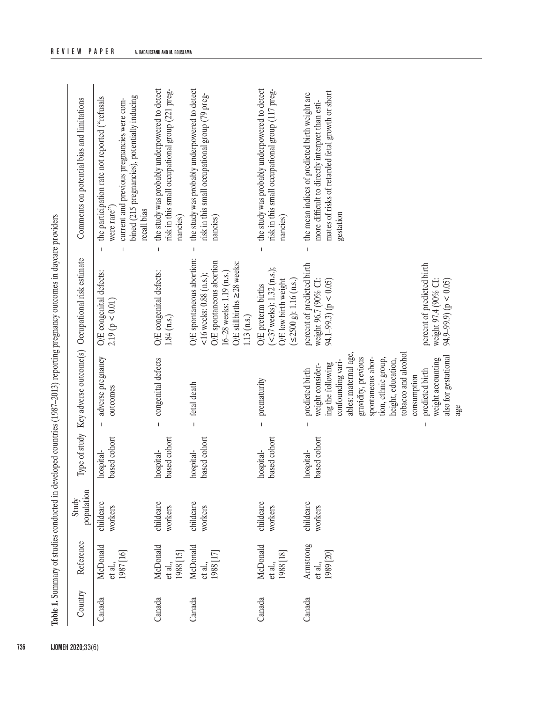|         |                                   | Study                |                           |                                                                                                                                                                                                                                                                                                           |                                                                                                                                                                         |                                                                                                                                                                            |
|---------|-----------------------------------|----------------------|---------------------------|-----------------------------------------------------------------------------------------------------------------------------------------------------------------------------------------------------------------------------------------------------------------------------------------------------------|-------------------------------------------------------------------------------------------------------------------------------------------------------------------------|----------------------------------------------------------------------------------------------------------------------------------------------------------------------------|
| Country | Reference                         | population           | Type of study             | Key adverse outcome(s)                                                                                                                                                                                                                                                                                    | Occupational risk estimate                                                                                                                                              | Comments on potential bias and limitations                                                                                                                                 |
| Canada  | McDonald<br>et al.,<br>1987 [16]  | childcare<br>workers | based cohort<br>hospital- | adverse pregnancy<br>outcomes                                                                                                                                                                                                                                                                             | O/E congenital defects:<br>2.19 ( $p < 0.01$ )                                                                                                                          | bined (215 pregnancies), potentially inducing<br>the participation rate not reported ("refusals<br>current and previous pregnancies were com-<br>were rare"<br>recall bias |
| Canada  | McDonald<br>et al.,<br>1988 [15]  | childcare<br>workers | based cohort<br>hospital- | congenital defects<br>$\overline{1}$                                                                                                                                                                                                                                                                      | O/E congenital defects:<br>1.84 (n.s.)                                                                                                                                  | the study was probably underpowered to detect<br>risk in this small occupational group (221 preg-<br>nancies)                                                              |
| Canada  | McDonald<br>et al.,<br>1988 [17]  | childcare<br>workers | based cohort<br>hospital- | fetal death<br>$\mathbf{I}$                                                                                                                                                                                                                                                                               | O/E spontaneous abortion:<br>O/E spontaneous abortion<br>O/E still<br>births $\geq$ 28 weeks:<br>16-28 weeks: 1.19 (n.s.)<br><16 weeks: $0.88$ (n.s.);<br>$1.13$ (n.s.) | the study was probably underpowered to detect<br>risk in this small occupational group (79 preg-<br>nancies)                                                               |
| Canada  | McDonald<br>et al.,<br>1988 [18]  | childcare<br>workers | based cohort<br>hospital- | prematurity                                                                                                                                                                                                                                                                                               | $-37$ weeks): 1.32 (n.s.);<br>O/E low birth weight<br>$(52500 \text{ g})$ : 1.16 (n.s.)<br>O/E preterm births                                                           | the study was probably underpowered to detect<br>risk in this small occupational group (117 preg-<br>nancies)                                                              |
| Canada  | Armstrong<br>et al.,<br>1989 [20] | childcare<br>workers | based cohort<br>hospital- | tobacco and alcohol<br>ables: maternal age,<br>also for gestational<br>spontaneous abor-<br>gravidity, previous<br>tion, ethnic group,<br>weight accounting<br>confounding vari-<br>height, education,<br>ing the following<br>weight consider-<br>predicted birth<br>predicted birth<br>consumption<br>I | percent of predicted birth<br>percent of predicted birth<br>weight 96.7 (90% CI:<br>weight 97.4 (90% CI:<br>94.1–99.3) ( $p < 0.05$ )<br>$(50.0 > 4)$ ( $(9.99.9)$ )    | mates of risks of retarded fetal growth or short<br>the mean indices of predicted birth weight are<br>more difficult to directly interpret than esti-<br>gestation         |

**REVIEW PAPER A. RADAUCEANU AND M. BOUSLAMA**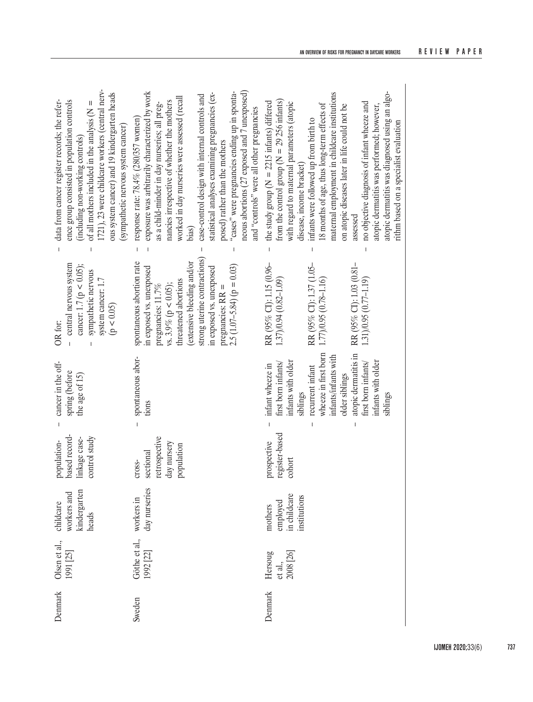| 1721), 23 were childcare workers (central nerv-<br>ous system cancer) and 19 kindergarten heads<br>data from cancer register records; the refer-<br>ence group consisted in population controls<br>of all mothers included in the analysis $(N =$<br>(sympathetic nervous system cancer)<br>(including non-working controls) | "cases" were pregnancies ending up in sponta-<br>exposure was arbitrarily characterized by work<br>neous abortions (27 exposed and 7 unexposed)<br>statistical analyses examining pregnancies (ex-<br>case-control design with internal controls and<br>worked in day nurseries were assessed (recall<br>nancies irrespective of whether the mothers<br>as a child-minder in day nurseries; all preg-<br>and "controls" were all other pregnancies<br>response rate: 78.4% (280/357 women)<br>posed) rather than the mothers<br>bias) | atopic dermatitis was diagnosed using an algo-<br>maternal employment in childcare institutions<br>from the control group ( $N = 29256$ infants)<br>the study group ( $N = 2215$ infants) differed<br>no objective diagnosis of infant wheeze and<br>with regard to maternal parameters (atopic<br>18 months of age, thus long-term effects of<br>on atopic diseases later in life could not be<br>atopic dermatitis was performed; however,<br>infants were followed up from birth to<br>rithm based on a specialist evaluation<br>disease, income bracket)<br>assessed |
|------------------------------------------------------------------------------------------------------------------------------------------------------------------------------------------------------------------------------------------------------------------------------------------------------------------------------|---------------------------------------------------------------------------------------------------------------------------------------------------------------------------------------------------------------------------------------------------------------------------------------------------------------------------------------------------------------------------------------------------------------------------------------------------------------------------------------------------------------------------------------|--------------------------------------------------------------------------------------------------------------------------------------------------------------------------------------------------------------------------------------------------------------------------------------------------------------------------------------------------------------------------------------------------------------------------------------------------------------------------------------------------------------------------------------------------------------------------|
|                                                                                                                                                                                                                                                                                                                              | $\overline{1}$                                                                                                                                                                                                                                                                                                                                                                                                                                                                                                                        |                                                                                                                                                                                                                                                                                                                                                                                                                                                                                                                                                                          |
| central nervous system<br>cancer: 1.7 ( $p < 0.05$ );<br>sympathetic nervous<br>system cancer: 1.7<br>(p < 0.05)<br>OR for:<br>$\mathbf{I}$                                                                                                                                                                                  | strong uterine contractions)<br>spontaneous abortion rate<br>(extensive bleeding and/or<br>$2.5(1.07-5.84)(p = 0.03)$<br>in exposed vs. unexposed<br>in exposed vs. unexposed<br>threatened abortions<br>vs. $3.9\%$ (p < 0.05);<br>pregnancies: 11.7%<br>pregnancies: $RR =$                                                                                                                                                                                                                                                         | RR (95% CI): 1.03 (0.81–<br>1.31)/0.95 (0.77–1.19)<br>RR (95% CI): 1.15 (0.96–<br>1.37)<br>0.94 (0.82–1.09)<br>RR (95% CI): 1.37 (1.05–<br>1.77)(0.95 (0.78–1.16)                                                                                                                                                                                                                                                                                                                                                                                                        |
| cancer in the off-<br>spring (before<br>the age of 15)                                                                                                                                                                                                                                                                       | spontaneous abor-<br>tions                                                                                                                                                                                                                                                                                                                                                                                                                                                                                                            | wheeze in first born<br>atopic dermatitis in<br>infants/infants with<br>infants with older<br>infants with older<br>first born infants/<br>first born infants/<br>infant wheeze in<br>recurrent infant<br>older siblings<br>siblings<br>siblings<br>$\mathsf I$                                                                                                                                                                                                                                                                                                          |
| based record-<br>control study<br>linkage case-<br>population-                                                                                                                                                                                                                                                               | retrospective<br>day nursery<br>population<br>sectional<br>cross-                                                                                                                                                                                                                                                                                                                                                                                                                                                                     | register-based<br>prospective<br>cohort                                                                                                                                                                                                                                                                                                                                                                                                                                                                                                                                  |
| kindergarten<br>workers and<br>childcare<br>heads                                                                                                                                                                                                                                                                            | day nurseries<br>workers in                                                                                                                                                                                                                                                                                                                                                                                                                                                                                                           | employed<br>in childcare<br>institutions<br>mothers                                                                                                                                                                                                                                                                                                                                                                                                                                                                                                                      |
| Olsen et al.,<br>1991 [25]                                                                                                                                                                                                                                                                                                   | Göthe et al.,<br>1992 [22]                                                                                                                                                                                                                                                                                                                                                                                                                                                                                                            | 2008 [26]<br>Hersoug<br>et al.,                                                                                                                                                                                                                                                                                                                                                                                                                                                                                                                                          |
| Denmark                                                                                                                                                                                                                                                                                                                      | Sweden                                                                                                                                                                                                                                                                                                                                                                                                                                                                                                                                | Denmark                                                                                                                                                                                                                                                                                                                                                                                                                                                                                                                                                                  |

**IJOMEH 2020;**33(6) **737**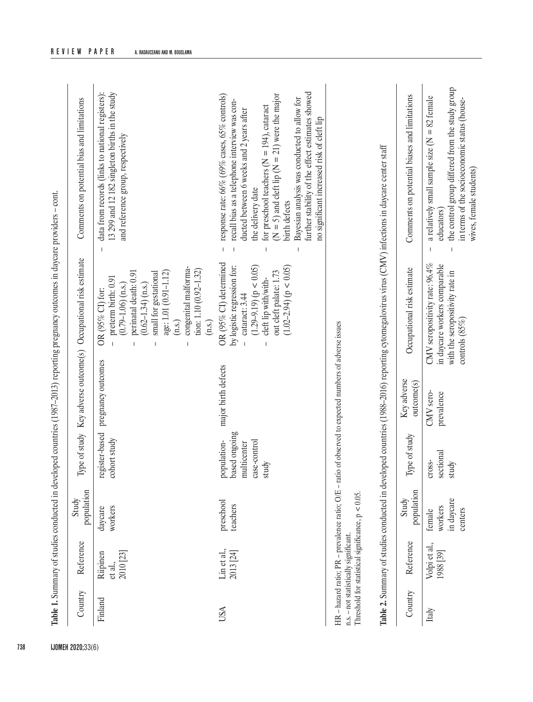| recall bias as a telephone interview was con-<br>for preschool teachers ( $N = 194$ ), cataract<br>ducted between 6 weeks and 2 years after<br>no significant increased risk of cleft lip<br>and reference group, respectively<br>the delivery date<br>birth defects<br>$\overline{\phantom{a}}$<br>$\mathbf{I}$<br>OR (95% CI) determined<br>by logistic regression for:<br>$(1.29-9.19) (p < 0.05)$<br>$(1.02 - 2.94)$ ( $p < 0.05$ )<br>congenital malforma-<br>tion: 1.10 (0.92-1.32)<br>out cleft palate: 1.73<br>perinatal death: 0.91<br>small for gestational<br>age: 1.01 (0.91-1.12)<br>preterm birth: 0.91<br>cleft lip with/with-<br>$(0.62 - 1.34)$ (n.s.)<br>$(0.79 - 1.06)$ (n.s.)<br>OR (95% CI) for:<br>cataract: 3.44<br>(n.s.)<br>(n.s.)<br>HR - hazard ratio; PR - prevalence ratio; O/E - ratio of observed to expected numbers of adverse issues<br>pregnancy outcomes<br>major birth defects<br>register-based<br>population-<br>based ongoing<br>cohort study<br>case-control<br>multicenter<br>study<br>Threshold for statistical significance, $p < 0.05$<br>preschool<br>teachers<br>workers<br>daycare<br>n.s. - not statistically significant.<br>Lin et al.,<br>2013 [24]<br>2010 [23]<br>Riipinen<br>et al.,<br>Finland<br>USA | Country | Reference                  | population<br>Study                        |                              | Type of study Key adverse outcome(s) | Occupational risk estimate                                                                                              | Comments on potential bias and limitations                                                                                                                                                            |
|---------------------------------------------------------------------------------------------------------------------------------------------------------------------------------------------------------------------------------------------------------------------------------------------------------------------------------------------------------------------------------------------------------------------------------------------------------------------------------------------------------------------------------------------------------------------------------------------------------------------------------------------------------------------------------------------------------------------------------------------------------------------------------------------------------------------------------------------------------------------------------------------------------------------------------------------------------------------------------------------------------------------------------------------------------------------------------------------------------------------------------------------------------------------------------------------------------------------------------------------------------------|---------|----------------------------|--------------------------------------------|------------------------------|--------------------------------------|-------------------------------------------------------------------------------------------------------------------------|-------------------------------------------------------------------------------------------------------------------------------------------------------------------------------------------------------|
|                                                                                                                                                                                                                                                                                                                                                                                                                                                                                                                                                                                                                                                                                                                                                                                                                                                                                                                                                                                                                                                                                                                                                                                                                                                               |         |                            |                                            |                              |                                      |                                                                                                                         | data from records (links to national registers):<br>13 299 and 12 182 singleton births in the study                                                                                                   |
|                                                                                                                                                                                                                                                                                                                                                                                                                                                                                                                                                                                                                                                                                                                                                                                                                                                                                                                                                                                                                                                                                                                                                                                                                                                               |         |                            |                                            |                              |                                      |                                                                                                                         | further stability of the effect estimates showed<br>$(N = 5)$ and cleft lip $(N = 21)$ were the major<br>response rate: 66% (69% cases, 65% controls)<br>Bayesian analysis was conducted to allow for |
|                                                                                                                                                                                                                                                                                                                                                                                                                                                                                                                                                                                                                                                                                                                                                                                                                                                                                                                                                                                                                                                                                                                                                                                                                                                               |         |                            |                                            |                              |                                      |                                                                                                                         |                                                                                                                                                                                                       |
|                                                                                                                                                                                                                                                                                                                                                                                                                                                                                                                                                                                                                                                                                                                                                                                                                                                                                                                                                                                                                                                                                                                                                                                                                                                               | Country | Reference                  | population                                 | Type of study                | outcome(s)                           | Occupational risk estimate                                                                                              | Comments on potential biases and limitations                                                                                                                                                          |
| Key adverse<br>Study                                                                                                                                                                                                                                                                                                                                                                                                                                                                                                                                                                                                                                                                                                                                                                                                                                                                                                                                                                                                                                                                                                                                                                                                                                          | Italy   | Volpi et al.,<br>1988 [39] | in daycare<br>workers<br>centers<br>female | sectional<br>cross-<br>study | CMV sero-<br>prevalence              | CMV seropositivity rate: 96.4%<br>in daycare workers comparable<br>with the seropositivity rate in<br>controls $(85\%)$ | the control group differed from the study group<br>a relatively small sample size $(N = 82$ female<br>in terms of the socioeconomic status (house-<br>educators)                                      |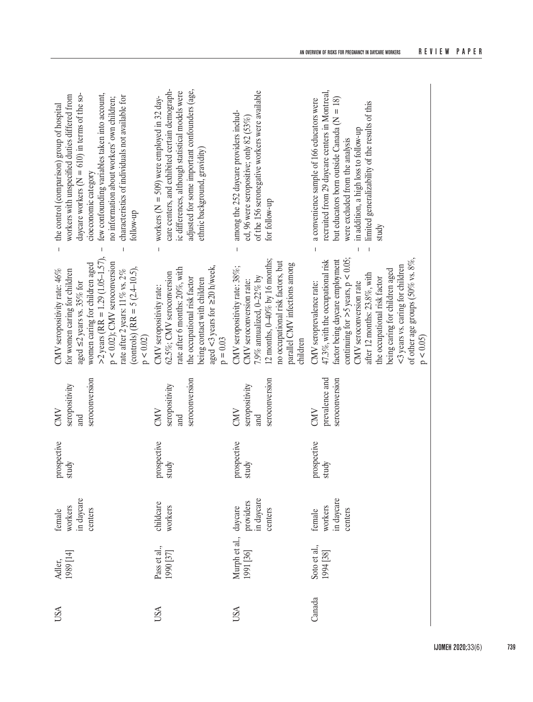| few confounding variables taken into account,<br>daycare workers ( $N = 610$ ) in terms of the so-<br>workers with unspecified duties differed from<br>characteristics of individuals not available for<br>no information about workers' own children;<br>the control (comparison) group of hospital<br>cioeconomic category<br>follow-up     | care centers, and exhibited certain demograph-<br>adjusted for some important confounders (age,<br>ic differences, although statistical models were<br>workers ( $N = 509$ ) were employed in 32 day-<br>ethnic background, gravidity) | of the 156 seronegative workers were available<br>among the 252 daycare providers includ-<br>ed, 96 were seropositive; only 82 (53%)<br>for follow-up                                                           | recruited from 29 daycare centers in Montreal,<br>a convenience sample of 166 educators were<br>but educators born outside Canada ( $N = 18$ )<br>limited generalizability of the results of this<br>in addition, a high loss to follow-up<br>were excluded from the analysis<br>study                                                                         |
|-----------------------------------------------------------------------------------------------------------------------------------------------------------------------------------------------------------------------------------------------------------------------------------------------------------------------------------------------|----------------------------------------------------------------------------------------------------------------------------------------------------------------------------------------------------------------------------------------|-----------------------------------------------------------------------------------------------------------------------------------------------------------------------------------------------------------------|----------------------------------------------------------------------------------------------------------------------------------------------------------------------------------------------------------------------------------------------------------------------------------------------------------------------------------------------------------------|
| $\overline{1}$<br>$\overline{1}$<br>$>$ 2 years (RR = 1.29 (1.05–1.57),<br>$p < 0.02$ ); CMV seroconversion<br>women caring for children aged<br>(controls) (RR = $5$ (2.4-10.5),<br>CMV seropositivity rate: 46%<br>for women caring for children<br>rate after 2 years: $11\%$ vs. $2\%$<br>aged $\leq$ 2 years vs. 35% for<br>$p < 0.02$ ) | aged <3 years for $\geq 20$ h/week,<br>rate after 6 months: 20%, with<br>62.5%; CMV seroconversion<br>the occupational risk factor<br>being contact with children<br>CMV seropositivity rate:<br>$p = 0.03$                            | $12$ months, $0-40\%$ by 16 months;<br>no occupational risk factors, but<br>parallel CMV infections among<br>CMV seropositivity rate: 38%;<br>7.9% annualized, 0-22% by<br>CMV seroconversion rate:<br>children | of other age groups (50% vs. $8\%$ ,<br>continuing for $>$ 5 years, p < 0.05;<br>factor being daycare employment<br>47.3%, with the occupational risk<br><3 years vs. caring for children<br>being caring for children aged<br>after 12 months: 23.8%, with<br>the occupational risk factor<br>CMV seroprevalence rate:<br>CMV seroconversion rate<br>p < 0.05 |
| seroconversion<br>seropositivity<br>CMD<br>and                                                                                                                                                                                                                                                                                                | seroconversion<br>seropositivity<br>CMV<br>and                                                                                                                                                                                         | seroconversion<br>seropositivity<br>CMV<br>and                                                                                                                                                                  | prevalence and<br>seroconversion<br>CMV                                                                                                                                                                                                                                                                                                                        |
| prospective<br>study                                                                                                                                                                                                                                                                                                                          | prospective<br>study                                                                                                                                                                                                                   | prospective<br>study                                                                                                                                                                                            | prospective<br>study                                                                                                                                                                                                                                                                                                                                           |
| workers<br>in daycare<br>centers<br>female                                                                                                                                                                                                                                                                                                    | childcare<br>workers                                                                                                                                                                                                                   | providers<br>in daycare<br>daycare<br>centers                                                                                                                                                                   | in daycare<br>workers<br>female<br>centers                                                                                                                                                                                                                                                                                                                     |
| Adler,<br>1989 [14]                                                                                                                                                                                                                                                                                                                           | Pass et al.,<br>1990 [37]                                                                                                                                                                                                              | Murph et al.,<br>1991 [36]                                                                                                                                                                                      | Soto et al.,<br>1994 [38]                                                                                                                                                                                                                                                                                                                                      |
| USA                                                                                                                                                                                                                                                                                                                                           | USA                                                                                                                                                                                                                                    | USA                                                                                                                                                                                                             | Canada                                                                                                                                                                                                                                                                                                                                                         |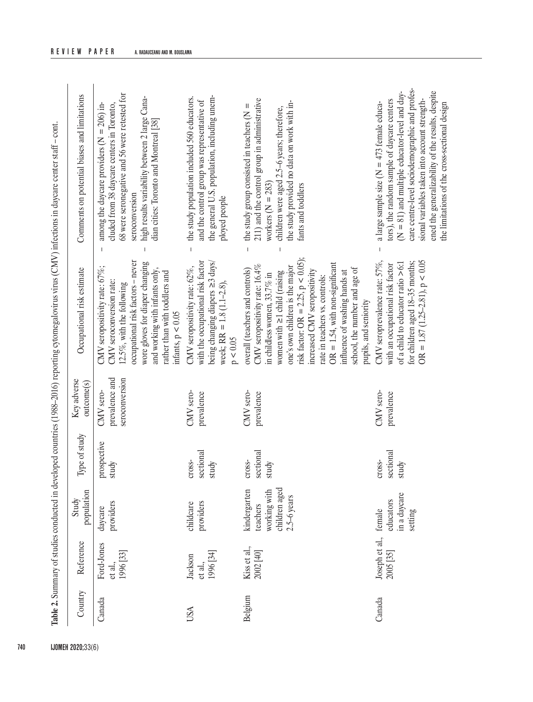| Table 2. Summary of studies conducted in developed countries (1988-2016) reporting cytomegalovirus virus (CMV) infections in daycare center staff - cont. |                                    |                                                                          |                              |                                               |                                                                                                                                                                                                                                                                                                                                                                                                                     |                                                                                                                                                                                                                                                                                                         |
|-----------------------------------------------------------------------------------------------------------------------------------------------------------|------------------------------------|--------------------------------------------------------------------------|------------------------------|-----------------------------------------------|---------------------------------------------------------------------------------------------------------------------------------------------------------------------------------------------------------------------------------------------------------------------------------------------------------------------------------------------------------------------------------------------------------------------|---------------------------------------------------------------------------------------------------------------------------------------------------------------------------------------------------------------------------------------------------------------------------------------------------------|
| Country                                                                                                                                                   | Reference                          | population<br>Study                                                      | Type of study                | Key adverse<br>outcome(s)                     | Occupational risk estimate                                                                                                                                                                                                                                                                                                                                                                                          | Comments on potential biases and limitations                                                                                                                                                                                                                                                            |
| Canada                                                                                                                                                    | Ford-Jones<br>1996 [33]<br>et al., | providers<br>daycare                                                     | prospective<br>study         | prevalence and<br>seroconversion<br>CMV sero- | ocupational risk factors - never<br>wore gloves for diaper changing<br>CMV seropositivity rate: 67%;<br>and working with infants only,<br>rather than with toddlers and<br>CMV seroconversion rate:<br>12.5%, with the following<br>infants, $p<0.05$                                                                                                                                                               | 68 were seronegative and 56 were retested for<br>high results variability between 2 large Cana-<br>among the daycare providers ( $N = 206$ ) in-<br>cluded from 38 daycare centers in Toronto,<br>dian cities: Toronto and Montreal [38]<br>seroconversion                                              |
| <b>USA</b>                                                                                                                                                | 1996 [34]<br>Jackson<br>et al.,    | providers<br>childcare                                                   | sectional<br>cross-<br>study | CMV sero-<br>prevalence                       | with the occupational risk factor<br>being changing diapers $\geq$ 3 days/<br>CMV seropositivity rate: 62%,<br>week; $RR = 1.8 (1.1 - 2.8)$ ,<br>$\rm p < 0.05$                                                                                                                                                                                                                                                     | the general U.S. population, including unem-<br>the study population included 560 educators.<br>and the control group was representative of<br>ployed people<br>$\mathbf{I}$                                                                                                                            |
| Belgium                                                                                                                                                   | Kiss et al.,<br>2002 [40]          | children aged<br>kindergarten<br>working with<br>2.5-6 years<br>teachers | sectional<br>cross-<br>study | CMV sero-<br>prevalence                       | risk factor: OR = 2.25, p < 0.05);<br>$OR = 1.54$ , with non-significant<br>CMV seropositivity rate: 16.4%<br>one's own children is the major<br>school, the number and age of<br>overall (teachers and controls)<br>influence of washing hands at<br>increased CMV seropositivity<br>women with $\geq$ 1 child (raising<br>in childless women, 33.7% in<br>rate in teachers vs. controls:<br>pupils, and seniority | 211) and the control group in administrative<br>the study provided no data on work with in-<br>the study group consisted in teachers ( $N =$<br>children were aged 2.5-6 years; therefore,<br>workers $(N = 283)$<br>fants and toddlers<br>$\overline{1}$                                               |
| Canada                                                                                                                                                    | Joseph et al.,<br>2005 [35]        | in a daycare<br>educators<br>female<br>setting                           | sectional<br>cross-<br>study | CMV sero-<br>prevalence                       | CMV seroprevalence rate: 57%,<br>$OR = 1.87 (1.25 - 2.81), p < 0.05$<br>for children aged 18-35 months;<br>of a child to educator ratio $> 6:1$<br>with an occupational risk factor                                                                                                                                                                                                                                 | care centre-level sociodemographic and profes-<br>ened the generalizability of the results, despite<br>$(N = 81)$ and multiple educator-level and day-<br>tors), the random sample of daycare centers<br>sional variables taken into account strength-<br>a large sample size ( $N = 473$ female educa- |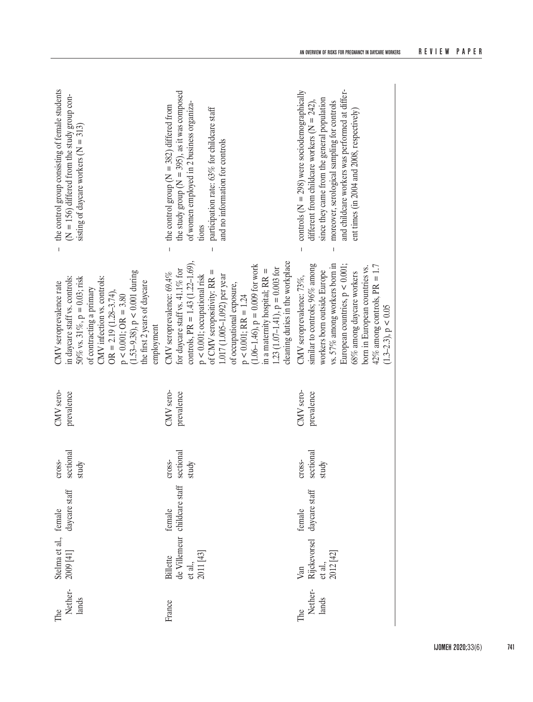| Nether-<br>lands<br>The | Stelma et al., female<br>2009 [41] daycare  | daycare staff                          | sectional<br>cross-<br>study | CMV sero-<br>prevalence | $p < 0.001$ ; OR = 3.80<br>(1.53–9.38), p < 0.001 during<br>in daycare staff vs. controls:<br>CMV infection vs. controls:<br>50% vs. 31%, $p = 0.03$ ; risk<br>the first 2 years of daycare<br>CMV seroprevalence rate<br>of contracting a primary<br>$OR = 2.19(1.28-3.74),$<br>employment                                                                                                                      | the control group consisting of female students<br>(N = 156) differed from the study group consisting of daycare workers (N = 313)<br>$\overline{1}$                                                                                                                                                                |
|-------------------------|---------------------------------------------|----------------------------------------|------------------------------|-------------------------|------------------------------------------------------------------------------------------------------------------------------------------------------------------------------------------------------------------------------------------------------------------------------------------------------------------------------------------------------------------------------------------------------------------|---------------------------------------------------------------------------------------------------------------------------------------------------------------------------------------------------------------------------------------------------------------------------------------------------------------------|
| France                  | et al.,<br>2011 [43]<br>Billette            | de Villemeur childcare staff<br>female | sectional<br>cross-<br>study | CMV sero-<br>prevalence | controls, PR = $1.43$ (1.22-1.69),<br>cleaning duties in the workplace<br>$(1.06-1.46)$ , $p = 0.009$ for work<br>1.23 (1.07-1.41), $p = 0.003$ for<br>for daycare staff vs. 41.1% for<br>in a maternity hospital; $RR =$<br>of CMV seropositivity: RR =<br>CMV seroprevalence: 69.4%<br>1.017 (1.005-1.092) per year<br>$p < 0.001$ ; occupational risk<br>of occupational exposure,<br>$p < 0.001$ ; RR = 1.24 | the study group ( $N = 395$ ), as it was composed<br>of women employed in 2 business organiza-<br>the control group ( $N = 382$ ) differed from<br>participation rate: 63% for childcare staff<br>and no information for controls<br>tions<br>$\overline{1}$<br>$\overline{1}$                                      |
| Nether-<br>lands<br>The | Van<br>Rijckevorsel<br>et al.,<br>2012 [42] | daycare staff<br>female                | sectional<br>cross-<br>study | CMV sero-<br>prevalence | similar to controls; 96% among<br>vs. 57% among workers born in<br>European countries, $p < 0.001$ ;<br>$42\%$ among controls, PR = 1.7<br>born in European countries vs.<br>workers born outside Europe<br>68% among daycare workers<br>CMV seroprevalence: 73%,<br>$(1.3-2.3), p < 0.05$                                                                                                                       | and childcare workers was performed at differ-<br>controls ( $N = 298$ ) were sociodemographically<br>since they came from the general population<br>different from childcare workers ( $N = 242$ ),<br>moreover, serological sampling for controls<br>ent times (in 2004 and 2008, respectively)<br>$\overline{1}$ |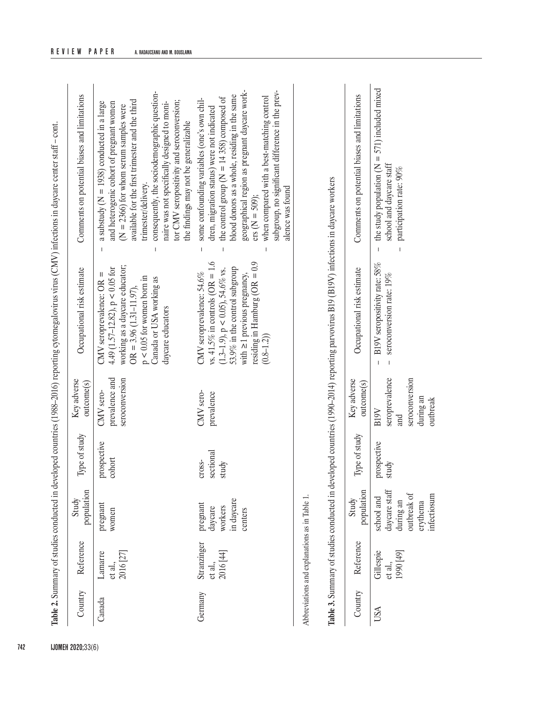|     | lable 2. Summary of studies conducted in developed countries (1988–2016) reporting cytomegalovirus virus (CMV) infections in daycare center staff - cont. | Comments on potential biases and limitations | available for the first trimester and the third<br>a substudy ( $N = 1938$ ) conducted in a large<br>and heterogenic cohort of pregnant women<br>$(N = 2366)$ for whom serum samples were |
|-----|-----------------------------------------------------------------------------------------------------------------------------------------------------------|----------------------------------------------|-------------------------------------------------------------------------------------------------------------------------------------------------------------------------------------------|
|     |                                                                                                                                                           | Occupational risk estimate                   | working as a daycare educator;<br>4.49 (1.57–12.82), $p < 0.05$ for<br>$CMV$ seroprevalence: $OR =$<br>$\overline{OR}$ = 3 06 (1 31-11 07)                                                |
|     |                                                                                                                                                           | Key adverse<br>outcome(s)                    | prevalence and<br>seroconversion<br>CMV sero-                                                                                                                                             |
|     |                                                                                                                                                           | Type of study                                | prospective<br>cohort                                                                                                                                                                     |
|     |                                                                                                                                                           | Study                                        | pregnant<br>women                                                                                                                                                                         |
|     |                                                                                                                                                           | Country Reference                            | <b>Lamarre</b><br>(27)<br>et al.,                                                                                                                                                         |
|     |                                                                                                                                                           |                                              | Canada                                                                                                                                                                                    |
| 742 |                                                                                                                                                           | <b>IJOMEH 2020;33(6)</b>                     |                                                                                                                                                                                           |

|         | 2016   27                           |                                                         |           | seroconversion | working as a daycare educator;        | $(N = 2366)$ for whom serum samples were         |
|---------|-------------------------------------|---------------------------------------------------------|-----------|----------------|---------------------------------------|--------------------------------------------------|
|         |                                     |                                                         |           |                | $OR = 3.96 (1.31 - 11.97),$           | available for the first trimester and the third  |
|         |                                     |                                                         |           |                | $p < 0.05$ for women born in          | trimester/delivery.                              |
|         |                                     |                                                         |           |                | Canada or USA working as              | consequently, the sociodemographic question-     |
|         |                                     |                                                         |           |                | daycare educators                     | naire was not specifically designed to moni-     |
|         |                                     |                                                         |           |                |                                       | tor CMV seropositivity and seroconversion;       |
|         |                                     |                                                         |           |                |                                       | the findings may not be generalizable            |
| Germany |                                     |                                                         | Cross-    | CMV sero-      | CMV seroprevalence: $54.6\%$          | some confounding variables (one's own chil-<br>I |
|         |                                     |                                                         | sectional | prevalence     | vs. 41.5% in controls (OR = 1.6       | dren, migration status) were not indicated       |
|         | Stranzinger<br>et al.,<br>2016 [44] |                                                         | study     |                | $(1.3-1.9)$ , $p < 0.05$ ), 54.6% vs. | - the control group ( $N = 14358$ ) composed of  |
|         |                                     | pregnant<br>daycare<br>workers<br>in daycare<br>senters |           |                | 53.9% in the control subgroup         | blood donors as a whole, residing in the same    |
|         |                                     |                                                         |           |                | with $\geq 1$ previous pregnancy,     | geographical region as pregnant daycare work-    |
|         |                                     |                                                         |           |                | residing in Hamburg ( $OR = 0.9$      | $\text{ers}(\text{N} = 509);$                    |
|         |                                     |                                                         |           |                | $(0.8 - 1.2)$                         | when compared with a best-matching control       |
|         |                                     |                                                         |           |                |                                       | subgroup, no significant difference in the prev- |
|         |                                     |                                                         |           |                |                                       | alence was found                                 |

Abbreviations and explanations as in Table 1. Abbreviations and explanations as in Table 1.

Table 3. Summary of studies conducted in developed countries (1990-2014) reporting parvovirus B19 (B19V) infections in daycare workers **Table 3.** Summary of studies conducted in developed countries (1990–2014) reporting parvovirus B19 (B19V) infections in daycare workers

| Jountry | Reference                        | opulation<br>Study                                                                      | Type of study        | Key adverse<br>outcome(s)                                                | Occupational risk estimate                                | Comments on potential biases and limitations                                                                              |
|---------|----------------------------------|-----------------------------------------------------------------------------------------|----------------------|--------------------------------------------------------------------------|-----------------------------------------------------------|---------------------------------------------------------------------------------------------------------------------------|
|         | Gillespie<br>990 [49]<br>it al., | school and<br>daycare staff<br>during an<br>hutbreak of<br><i>vectiosun</i><br>erythema | prospective<br>study | seroprevalence<br>seroconversion<br>luring an<br>outbreak<br>B19V<br>and | B19V seropositivity rate: 58%<br>seroconversion rate: 19% | the study population ( $N = 571$ ) included mixed<br>school and daycare staff<br>participation rate: 90%<br>$\frac{1}{1}$ |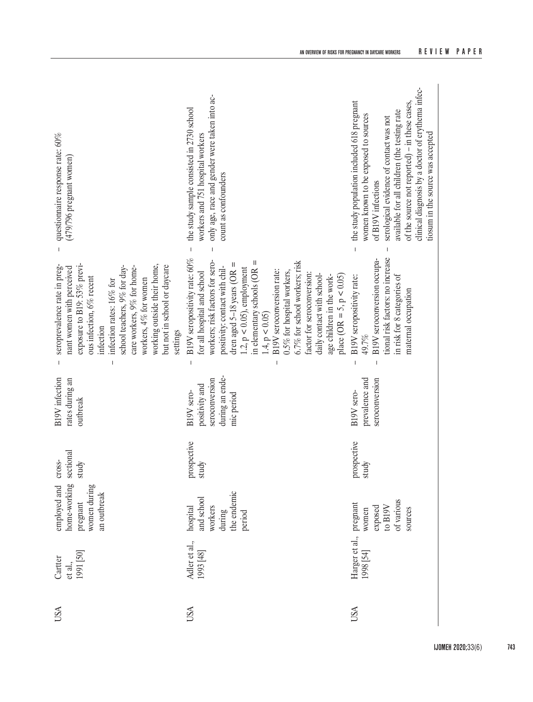| questionnaire response rate: 60%<br>(479/796 pregnant women)                                                                                                                                                                                                                                                                    | only age, race and gender were taken into ac-<br>the study sample consisted in 2730 school<br>workers and 751 hospital workers<br>count as confounders                                                                                                                                                                                                                                                                                                                                         | clinical diagnosis by a doctor of erythema infec-<br>the study population included 618 pregnant<br>of the source not reported) - in these cases,<br>available for all children (the testing rate<br>women known to be exposed to sources<br>serological evidence of contact was not<br>tiosum in the source was accepted<br>of B19V infections |
|---------------------------------------------------------------------------------------------------------------------------------------------------------------------------------------------------------------------------------------------------------------------------------------------------------------------------------|------------------------------------------------------------------------------------------------------------------------------------------------------------------------------------------------------------------------------------------------------------------------------------------------------------------------------------------------------------------------------------------------------------------------------------------------------------------------------------------------|------------------------------------------------------------------------------------------------------------------------------------------------------------------------------------------------------------------------------------------------------------------------------------------------------------------------------------------------|
| exposure to B19: 53% previ-<br>working outside their home,<br>seroprevalence rate in preg-<br>but not in school or daycare<br>school teachers, 9% for day-<br>care workers, 9% for home-<br>nant women with perceived<br>ous infection, 6% recent<br>workers, 4% for women<br>infection rates: 16% for<br>infection<br>settings | B19V seropositivity rate: 60%<br>workers; risk factors for sero-<br>6.7% for school workers; risk<br>$\mathsf{II}$<br>dren aged 5-18 years (OR $=$<br>positivity: contact with chil-<br>$1.2$ , $p < 0.05$ ), employment<br>in elementary schools (OR<br>B19V seroconversion rate:<br>for all hospital and school<br>0.5% for hospital workers,<br>factor for seroconversion:<br>daily contact with school-<br>age children in the work-<br>$place (OR = 5, p < 0.05)$<br>$1.4$ , $p < 0.05$ ) | tional risk factors: no increase<br>B19V seroconversion occupa-<br>B19V seropositivity rate:<br>in risk for 8 categories of<br>maternal occupation<br>49.7%                                                                                                                                                                                    |
| <b>B19V</b> infection<br>rates during an<br>outbreak                                                                                                                                                                                                                                                                            | during an ende-<br>seroconversion<br>positivity and<br>B19V sero-<br>mic period                                                                                                                                                                                                                                                                                                                                                                                                                | prevalence and<br>seroconversion<br>B19V sero-                                                                                                                                                                                                                                                                                                 |
| sectional<br>cross-<br>study                                                                                                                                                                                                                                                                                                    | prospective<br>study                                                                                                                                                                                                                                                                                                                                                                                                                                                                           | prospective<br>study                                                                                                                                                                                                                                                                                                                           |
| home-working<br>women during<br>employed and<br>an outbreak<br>pregnant                                                                                                                                                                                                                                                         | the endemic<br>and school<br>hospital<br>workers<br>during<br>period                                                                                                                                                                                                                                                                                                                                                                                                                           | of various<br>to $\rm B19V$<br>exposed<br>sources<br>women                                                                                                                                                                                                                                                                                     |
| 1991 [50]<br>Cartter<br>et al.,                                                                                                                                                                                                                                                                                                 | Adler et al.,<br>1993 [48]                                                                                                                                                                                                                                                                                                                                                                                                                                                                     | Harger et al., pregnant<br>1998 [54]                                                                                                                                                                                                                                                                                                           |
| USA                                                                                                                                                                                                                                                                                                                             | USA                                                                                                                                                                                                                                                                                                                                                                                                                                                                                            | USA                                                                                                                                                                                                                                                                                                                                            |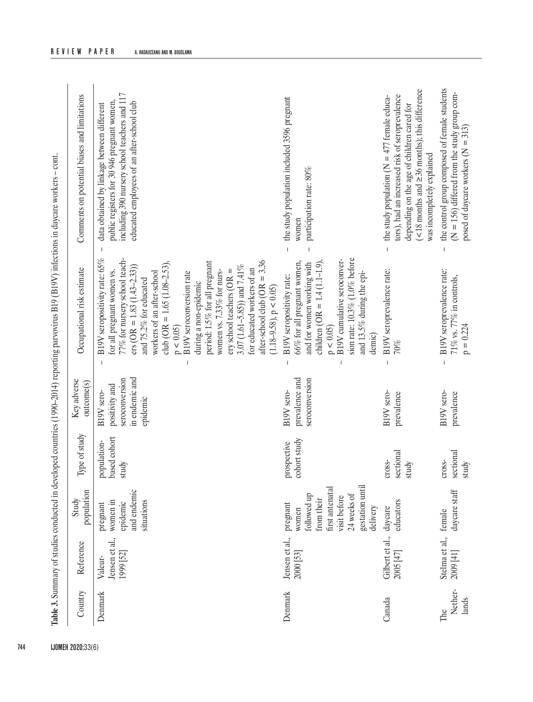| the control group composed of female students<br>$\leq$ 18 months and $\geq$ 36 months); this difference<br>including 390 nursery school teachers and 117<br>Comments on potential biases and limitations<br>tors), had an increased risk of seroprevalence<br>the study population ( $N = 477$ female educa-<br>the study population included 3596 pregnant<br>public registers for 30 946 pregnant women,<br>educated employees of an after-school club<br>data obtained by linkage between different<br>depending on the age of children cared for<br>was incompletely explained<br>participation rate: 80%<br>women<br>$\mathbf{I}$<br>B19V seropositivity rate: 65%<br>sion rate: 10.3% (1.0% before<br>77% for nursery school teach-<br>B19V cumulative seroconver-<br>after-school club ( $OR = 3.36$<br>club (OR = $1.65$ ( $1.08-2.53$ ),<br>period: 1.5% for all pregnant<br>66% for all pregnant women,<br>and for women working with<br>children (OR = $1.4$ (1.1-1.9)<br>3.07 (1.61-5.85)) and 7.41%<br>$ers (OR = 1.83 (1.43-2.33))$<br>Occupational risk estimate<br>for educated workers of an<br>B19V seroprevalence rate:<br>B19V seroprevalence rate:<br>for all pregnant women vs.<br>$e$ ry school teachers (OR =<br>women vs. 7.33% for nurs-<br>workers of an after-school<br>B19V seroconversion rate<br>and 13.5% during the epi-<br>B19V seropositivity rate:<br>and 75.2% for educated<br>during a non-epidemic<br>$(1.18-9.58), p < 0.05$<br>p < 0.05<br>p < 0.05<br>demic)<br>$70\%$ |
|-------------------------------------------------------------------------------------------------------------------------------------------------------------------------------------------------------------------------------------------------------------------------------------------------------------------------------------------------------------------------------------------------------------------------------------------------------------------------------------------------------------------------------------------------------------------------------------------------------------------------------------------------------------------------------------------------------------------------------------------------------------------------------------------------------------------------------------------------------------------------------------------------------------------------------------------------------------------------------------------------------------------------------------------------------------------------------------------------------------------------------------------------------------------------------------------------------------------------------------------------------------------------------------------------------------------------------------------------------------------------------------------------------------------------------------------------------------------------------------------------------------------|
|-------------------------------------------------------------------------------------------------------------------------------------------------------------------------------------------------------------------------------------------------------------------------------------------------------------------------------------------------------------------------------------------------------------------------------------------------------------------------------------------------------------------------------------------------------------------------------------------------------------------------------------------------------------------------------------------------------------------------------------------------------------------------------------------------------------------------------------------------------------------------------------------------------------------------------------------------------------------------------------------------------------------------------------------------------------------------------------------------------------------------------------------------------------------------------------------------------------------------------------------------------------------------------------------------------------------------------------------------------------------------------------------------------------------------------------------------------------------------------------------------------------------|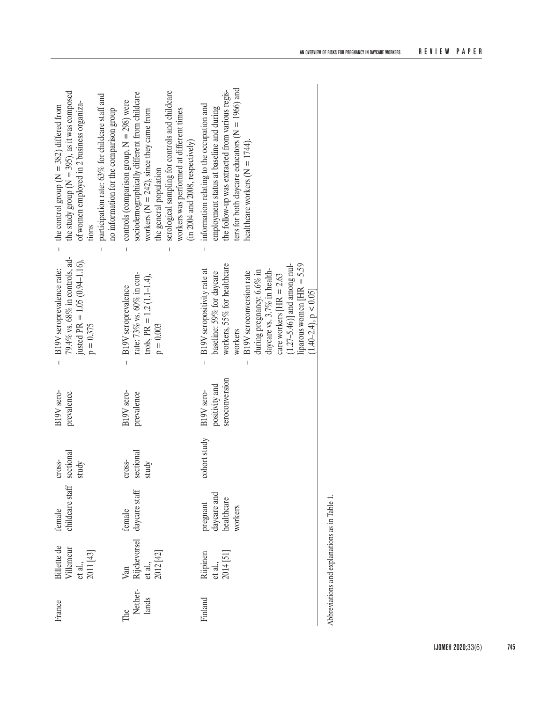| the study group ( $N = 395$ ), as it was composed<br>participation rate: 63% for childcare staff and<br>of women employed in 2 business organiza-<br>- the control group ( $N = 382$ ) differed from<br>no information for the comparison group<br>tions | serological sampling for controls and childcare<br>sociodemographically different from childcare<br>controls (comparison group, $N = 298$ ) were<br>workers was performed at different times<br>workers ( $N = 242$ ), since they came from<br>(in 2004 and 2008, respectively)<br>the general population | ters for both daycare educators ( $N = 1966$ ) and<br>the follow-up was extracted from various regis-<br>information relating to the occupation and<br>employment status at baseline and during<br>healthcare workers ( $N = 1744$ ).                                                                                                                                  |
|----------------------------------------------------------------------------------------------------------------------------------------------------------------------------------------------------------------------------------------------------------|-----------------------------------------------------------------------------------------------------------------------------------------------------------------------------------------------------------------------------------------------------------------------------------------------------------|------------------------------------------------------------------------------------------------------------------------------------------------------------------------------------------------------------------------------------------------------------------------------------------------------------------------------------------------------------------------|
| 79.4% vs. 68% in controls, ad-<br>justed PR = $1.05(0.94-1.16)$ ,<br>B19V seroprevalence rate:<br>$p = 0.375$<br>$\overline{1}$                                                                                                                          | rate: 73% vs. 60% in con-<br>trols, PR = $1.2$ (1.1-1.4),<br>B19V seroprevalence<br>$p = 0.003$<br>$\overline{1}$                                                                                                                                                                                         | $\overline{1}$<br>workers, 55% for healthcare<br>$(1.27-5.46)$ ] and among nul-<br>liparous women $HR = 5.59$<br>B19V seropositivity rate at<br>daycare vs. 3.7% in health-<br>during pregnancy: 6.6% in<br>baseline: 59% for daycare<br>B19V seroconversion rate<br>care workers $HR = 2.63$<br>$(1.40-2.4), p < 0.05$<br>workers<br>$\overline{1}$<br>$\overline{1}$ |
| B19V sero-<br>prevalence                                                                                                                                                                                                                                 | B19V sero-<br>prevalence                                                                                                                                                                                                                                                                                  | seroconversion<br>positivity and<br>B19V sero-                                                                                                                                                                                                                                                                                                                         |
| sectional<br>cross-<br>study                                                                                                                                                                                                                             | sectional<br>cross-<br>study                                                                                                                                                                                                                                                                              | cohort study                                                                                                                                                                                                                                                                                                                                                           |
| childcare staff<br>female                                                                                                                                                                                                                                | Van<br>Rijckevorsel daycare staff                                                                                                                                                                                                                                                                         | pregnant<br>daycare and<br>healthcare<br>workers                                                                                                                                                                                                                                                                                                                       |
| Billette de<br>Villemeur<br>et al.,<br>2011 [43]                                                                                                                                                                                                         | et al.,<br>2012 [42]                                                                                                                                                                                                                                                                                      | Riipinen<br>et al.,<br>2014 [51]                                                                                                                                                                                                                                                                                                                                       |
| France                                                                                                                                                                                                                                                   | Nether-<br>lands<br>The                                                                                                                                                                                                                                                                                   | Finland                                                                                                                                                                                                                                                                                                                                                                |

Abbreviations and explanations as in Table 1. Abbreviations and explanations as in Table 1.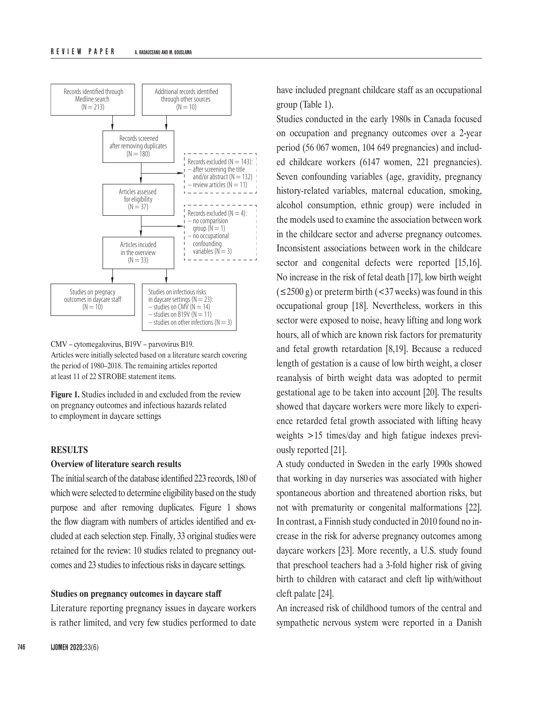

# CMV – cytomegalovirus, B19V – parvovirus B19.

Articles were initially selected based on a literature search covering the period of 1980–2018. The remaining articles reported at least 11 of 22 STROBE statement items.

**Figure 1.** Studies included in and excluded from the review on pregnancy outcomes and infectious hazards related to employment in daycare settings

#### **RESULTS**

#### **Overview of literature search results**

The initial search of the database identified 223 records, 180 of which were selected to determine eligibility based on the study purpose and after removing duplicates. Figure 1 shows the flow diagram with numbers of articles identified and excluded at each selection step. Finally, 33 original studies were retained for the review: 10 studies related to pregnancy outcomes and 23 studies to infectious risks in daycare settings.

#### **Studies on pregnancy outcomes in daycare staff**

Literature reporting pregnancy issues in daycare workers is rather limited, and very few studies performed to date

have included pregnant childcare staff as an occupational group (Table 1).

Studies conducted in the early 1980s in Canada focused on occupation and pregnancy outcomes over a 2-year period (56 067 women, 104 649 pregnancies) and included childcare workers (6147 women, 221 pregnancies). Seven confounding variables (age, gravidity, pregnancy history-related variables, maternal education, smoking, alcohol consumption, ethnic group) were included in the models used to examine the association between work in the childcare sector and adverse pregnancy outcomes. Inconsistent associations between work in the childcare sector and congenital defects were reported [15,16]. No increase in the risk of fetal death [17], low birth weight  $(\leq 2500 \text{ g})$  or preterm birth  $(< 37$  weeks) was found in this occupational group [18]. Nevertheless, workers in this sector were exposed to noise, heavy lifting and long work hours, all of which are known risk factors for prematurity and fetal growth retardation [8,19]. Because a reduced length of gestation is a cause of low birth weight, a closer reanalysis of birth weight data was adopted to permit gestational age to be taken into account [20]. The results showed that daycare workers were more likely to experience retarded fetal growth associated with lifting heavy weights >15 times/day and high fatigue indexes previously reported [21].

A study conducted in Sweden in the early 1990s showed that working in day nurseries was associated with higher spontaneous abortion and threatened abortion risks, but not with prematurity or congenital malformations [22]. In contrast, a Finnish study conducted in 2010 found no increase in the risk for adverse pregnancy outcomes among daycare workers [23]. More recently, a U.S. study found that preschool teachers had a 3-fold higher risk of giving birth to children with cataract and cleft lip with/without cleft palate [24].

An increased risk of childhood tumors of the central and sympathetic nervous system were reported in a Danish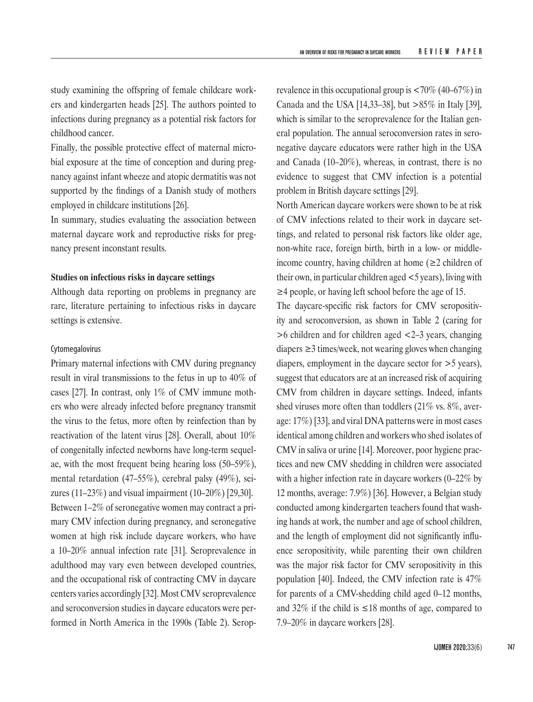study examining the offspring of female childcare workers and kindergarten heads [25]. The authors pointed to infections during pregnancy as a potential risk factors for childhood cancer.

Finally, the possible protective effect of maternal microbial exposure at the time of conception and during pregnancy against infant wheeze and atopic dermatitis was not supported by the findings of a Danish study of mothers employed in childcare institutions [26].

In summary, studies evaluating the association between maternal daycare work and reproductive risks for pregnancy present inconstant results.

#### **Studies on infectious risks in daycare settings**

Although data reporting on problems in pregnancy are rare, literature pertaining to infectious risks in daycare settings is extensive.

## Cytomegalovirus

Primary maternal infections with CMV during pregnancy result in viral transmissions to the fetus in up to 40% of cases [27]. In contrast, only 1% of CMV immune mothers who were already infected before pregnancy transmit the virus to the fetus, more often by reinfection than by reactivation of the latent virus [28]. Overall, about 10% of congenitally infected newborns have long-term sequelae, with the most frequent being hearing loss (50–59%), mental retardation (47–55%), cerebral palsy (49%), seizures (11–23%) and visual impairment (10–20%) [29,30]. Between 1–2% of seronegative women may contract a primary CMV infection during pregnancy, and seronegative women at high risk include daycare workers, who have a 10–20% annual infection rate [31]. Seroprevalence in adulthood may vary even between developed countries, and the occupational risk of contracting CMV in daycare centers varies accordingly [32]. Most CMV seroprevalence and seroconversion studies in daycare educators were performed in North America in the 1990s (Table 2). Seroprevalence in this occupational group is <70% (40–67%) in Canada and the USA [14,33–38], but >85% in Italy [39], which is similar to the seroprevalence for the Italian general population. The annual seroconversion rates in seronegative daycare educators were rather high in the USA and Canada (10–20%), whereas, in contrast, there is no evidence to suggest that CMV infection is a potential problem in British daycare settings [29].

North American daycare workers were shown to be at risk of CMV infections related to their work in daycare settings, and related to personal risk factors like older age, non-white race, foreign birth, birth in a low- or middleincome country, having children at home  $(\geq 2 \text{ children of})$ their own, in particular children aged <5 years), living with ≥4 people, or having left school before the age of 15.

The daycare-specific risk factors for CMV seropositivity and seroconversion, as shown in Table 2 (caring for >6 children and for children aged <2–3 years, changing diapers ≥3 times/week, not wearing gloves when changing diapers, employment in the daycare sector for >5 years), suggest that educators are at an increased risk of acquiring CMV from children in daycare settings. Indeed, infants shed viruses more often than toddlers (21% vs. 8%, average: 17%) [33], and viral DNA patterns were in most cases identical among children and workers who shed isolates of CMV in saliva or urine [14]. Moreover, poor hygiene practices and new CMV shedding in children were associated with a higher infection rate in daycare workers (0–22% by 12 months, average: 7.9%) [36]. However, a Belgian study conducted among kindergarten teachers found that washing hands at work, the number and age of school children, and the length of employment did not significantly influence seropositivity, while parenting their own children was the major risk factor for CMV seropositivity in this population [40]. Indeed, the CMV infection rate is 47% for parents of a CMV-shedding child aged 0–12 months, and 32% if the child is  $\leq 18$  months of age, compared to 7.9–20% in daycare workers [28].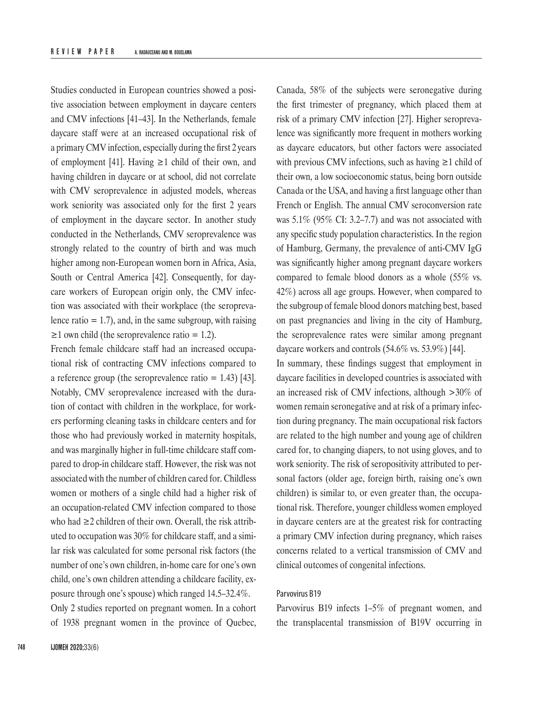Studies conducted in European countries showed a positive association between employment in daycare centers and CMV infections [41–43]. In the Netherlands, female daycare staff were at an increased occupational risk of a primary CMV infection, especially during the first 2 years of employment [41]. Having  $\geq 1$  child of their own, and having children in daycare or at school, did not correlate with CMV seroprevalence in adjusted models, whereas work seniority was associated only for the first 2 years of employment in the daycare sector. In another study conducted in the Netherlands, CMV seroprevalence was strongly related to the country of birth and was much higher among non-European women born in Africa, Asia, South or Central America [42]. Consequently, for daycare workers of European origin only, the CMV infection was associated with their workplace (the seroprevalence ratio  $= 1.7$ ), and, in the same subgroup, with raising  $\geq$ 1 own child (the seroprevalence ratio = 1.2).

French female childcare staff had an increased occupational risk of contracting CMV infections compared to a reference group (the seroprevalence ratio  $= 1.43$ ) [43]. Notably, CMV seroprevalence increased with the duration of contact with children in the workplace, for workers performing cleaning tasks in childcare centers and for those who had previously worked in maternity hospitals, and was marginally higher in full-time childcare staff compared to drop-in childcare staff. However, the risk was not associated with the number of children cared for. Childless women or mothers of a single child had a higher risk of an occupation-related CMV infection compared to those who had ≥2 children of their own. Overall, the risk attributed to occupation was 30% for childcare staff, and a similar risk was calculated for some personal risk factors (the number of one's own children, in-home care for one's own child, one's own children attending a childcare facility, exposure through one's spouse) which ranged 14.5–32.4%. Only 2 studies reported on pregnant women. In a cohort

of 1938 pregnant women in the province of Quebec,

Canada, 58% of the subjects were seronegative during the first trimester of pregnancy, which placed them at risk of a primary CMV infection [27]. Higher seroprevalence was significantly more frequent in mothers working as daycare educators, but other factors were associated with previous CMV infections, such as having  $\geq 1$  child of their own, a low socioeconomic status, being born outside Canada or the USA, and having a first language other than French or English. The annual CMV seroconversion rate was 5.1% (95% CI: 3.2–7.7) and was not associated with any specific study population characteristics. In the region of Hamburg, Germany, the prevalence of anti-CMV IgG was significantly higher among pregnant daycare workers compared to female blood donors as a whole (55% vs. 42%) across all age groups. However, when compared to the subgroup of female blood donors matching best, based on past pregnancies and living in the city of Hamburg, the seroprevalence rates were similar among pregnant daycare workers and controls (54.6% vs. 53.9%) [44].

In summary, these findings suggest that employment in daycare facilities in developed countries is associated with an increased risk of CMV infections, although >30% of women remain seronegative and at risk of a primary infection during pregnancy. The main occupational risk factors are related to the high number and young age of children cared for, to changing diapers, to not using gloves, and to work seniority. The risk of seropositivity attributed to personal factors (older age, foreign birth, raising one's own children) is similar to, or even greater than, the occupational risk. Therefore, younger childless women employed in daycare centers are at the greatest risk for contracting a primary CMV infection during pregnancy, which raises concerns related to a vertical transmission of CMV and clinical outcomes of congenital infections.

# Parvovirus B19

Parvovirus B19 infects 1–5% of pregnant women, and the transplacental transmission of B19V occurring in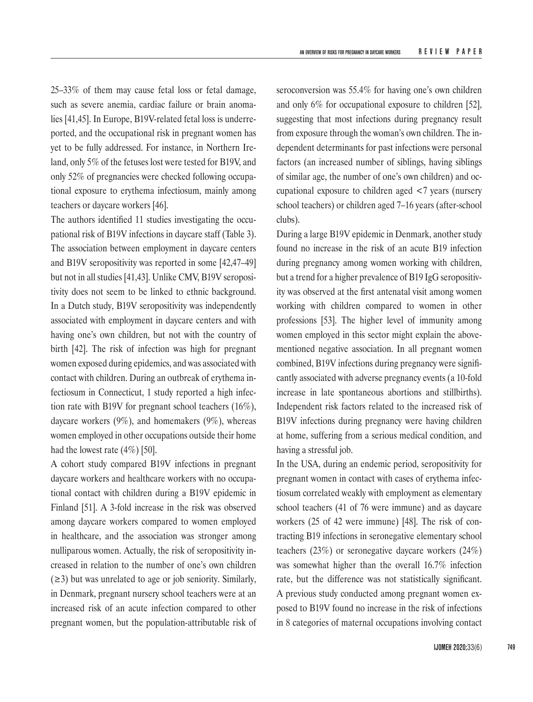25–33% of them may cause fetal loss or fetal damage, such as severe anemia, cardiac failure or brain anomalies [41,45]. In Europe, B19V-related fetal loss is underreported, and the occupational risk in pregnant women has yet to be fully addressed. For instance, in Northern Ireland, only 5% of the fetuses lost were tested for B19V, and only 52% of pregnancies were checked following occupational exposure to erythema infectiosum, mainly among teachers or daycare workers [46].

The authors identified 11 studies investigating the occupational risk of B19V infections in daycare staff (Table 3). The association between employment in daycare centers and B19V seropositivity was reported in some [42,47–49] but not in all studies [41,43]. Unlike CMV, B19V seropositivity does not seem to be linked to ethnic background. In a Dutch study, B19V seropositivity was independently associated with employment in daycare centers and with having one's own children, but not with the country of birth [42]. The risk of infection was high for pregnant women exposed during epidemics, and was associated with contact with children. During an outbreak of erythema infectiosum in Connecticut, 1 study reported a high infection rate with B19V for pregnant school teachers (16%), daycare workers (9%), and homemakers (9%), whereas women employed in other occupations outside their home had the lowest rate (4%) [50].

A cohort study compared B19V infections in pregnant daycare workers and healthcare workers with no occupational contact with children during a B19V epidemic in Finland [51]. A 3-fold increase in the risk was observed among daycare workers compared to women employed in healthcare, and the association was stronger among nulliparous women. Actually, the risk of seropositivity increased in relation to the number of one's own children (≥3) but was unrelated to age or job seniority. Similarly, in Denmark, pregnant nursery school teachers were at an increased risk of an acute infection compared to other pregnant women, but the population-attributable risk of seroconversion was 55.4% for having one's own children and only 6% for occupational exposure to children [52], suggesting that most infections during pregnancy result from exposure through the woman's own children. The independent determinants for past infections were personal factors (an increased number of siblings, having siblings of similar age, the number of one's own children) and occupational exposure to children aged <7 years (nursery school teachers) or children aged 7–16 years (after-school clubs).

During a large B19V epidemic in Denmark, another study found no increase in the risk of an acute B19 infection during pregnancy among women working with children, but a trend for a higher prevalence of B19 IgG seropositivity was observed at the first antenatal visit among women working with children compared to women in other professions [53]. The higher level of immunity among women employed in this sector might explain the abovementioned negative association. In all pregnant women combined, B19V infections during pregnancy were significantly associated with adverse pregnancy events (a 10-fold increase in late spontaneous abortions and stillbirths). Independent risk factors related to the increased risk of B19V infections during pregnancy were having children at home, suffering from a serious medical condition, and having a stressful job.

In the USA, during an endemic period, seropositivity for pregnant women in contact with cases of erythema infectiosum correlated weakly with employment as elementary school teachers (41 of 76 were immune) and as daycare workers (25 of 42 were immune) [48]. The risk of contracting B19 infections in seronegative elementary school teachers (23%) or seronegative daycare workers (24%) was somewhat higher than the overall 16.7% infection rate, but the difference was not statistically significant. A previous study conducted among pregnant women exposed to B19V found no increase in the risk of infections in 8 categories of maternal occupations involving contact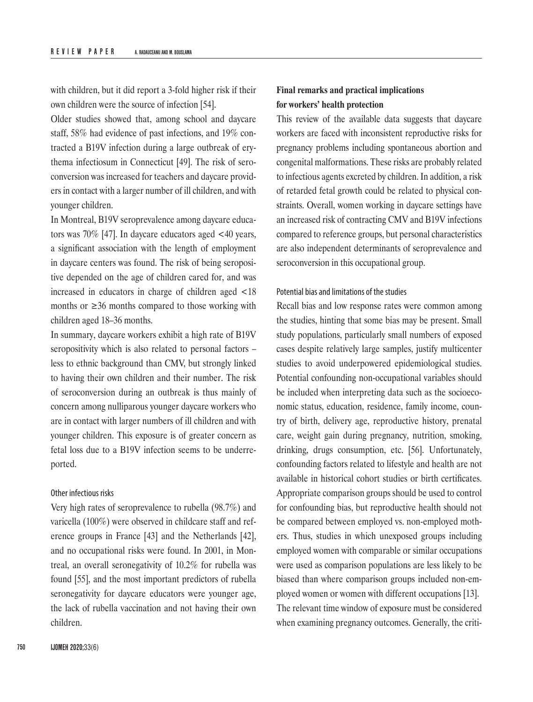with children, but it did report a 3-fold higher risk if their own children were the source of infection [54].

Older studies showed that, among school and daycare staff, 58% had evidence of past infections, and 19% contracted a B19V infection during a large outbreak of erythema infectiosum in Connecticut [49]. The risk of seroconversion was increased for teachers and daycare providers in contact with a larger number of ill children, and with younger children.

In Montreal, B19V seroprevalence among daycare educators was 70% [47]. In daycare educators aged <40 years, a significant association with the length of employment in daycare centers was found. The risk of being seropositive depended on the age of children cared for, and was increased in educators in charge of children aged <18 months or  $\geq$ 36 months compared to those working with children aged 18–36 months.

In summary, daycare workers exhibit a high rate of B19V seropositivity which is also related to personal factors – less to ethnic background than CMV, but strongly linked to having their own children and their number. The risk of seroconversion during an outbreak is thus mainly of concern among nulliparous younger daycare workers who are in contact with larger numbers of ill children and with younger children. This exposure is of greater concern as fetal loss due to a B19V infection seems to be underreported.

#### Other infectious risks

Very high rates of seroprevalence to rubella (98.7%) and varicella (100%) were observed in childcare staff and reference groups in France [43] and the Netherlands [42], and no occupational risks were found. In 2001, in Montreal, an overall seronegativity of 10.2% for rubella was found [55], and the most important predictors of rubella seronegativity for daycare educators were younger age, the lack of rubella vaccination and not having their own children.

# **Final remarks and practical implications for workers' health protection**

This review of the available data suggests that daycare workers are faced with inconsistent reproductive risks for pregnancy problems including spontaneous abortion and congenital malformations. These risks are probably related to infectious agents excreted by children. In addition, a risk of retarded fetal growth could be related to physical constraints. Overall, women working in daycare settings have an increased risk of contracting CMV and B19V infections compared to reference groups, but personal characteristics are also independent determinants of seroprevalence and seroconversion in this occupational group.

## Potential bias and limitations of the studies

Recall bias and low response rates were common among the studies, hinting that some bias may be present. Small study populations, particularly small numbers of exposed cases despite relatively large samples, justify multicenter studies to avoid underpowered epidemiological studies. Potential confounding non-occupational variables should be included when interpreting data such as the socioeconomic status, education, residence, family income, country of birth, delivery age, reproductive history, prenatal care, weight gain during pregnancy, nutrition, smoking, drinking, drugs consumption, etc. [56]. Unfortunately, confounding factors related to lifestyle and health are not available in historical cohort studies or birth certificates. Appropriate comparison groups should be used to control for confounding bias, but reproductive health should not be compared between employed vs. non-employed mothers. Thus, studies in which unexposed groups including employed women with comparable or similar occupations were used as comparison populations are less likely to be biased than where comparison groups included non-employed women or women with different occupations [13]. The relevant time window of exposure must be considered when examining pregnancy outcomes. Generally, the criti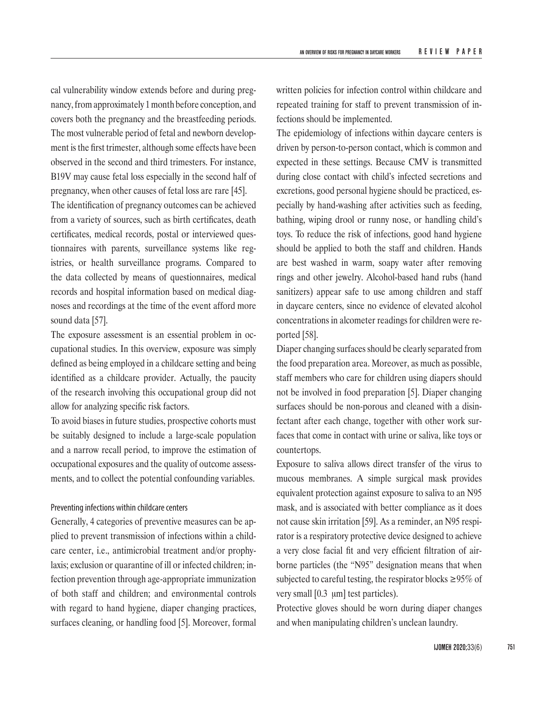cal vulnerability window extends before and during pregnancy, from approximately 1 month before conception, and covers both the pregnancy and the breastfeeding periods. The most vulnerable period of fetal and newborn development is the first trimester, although some effects have been observed in the second and third trimesters. For instance, B19V may cause fetal loss especially in the second half of pregnancy, when other causes of fetal loss are rare [45].

The identification of pregnancy outcomes can be achieved from a variety of sources, such as birth certificates, death certificates, medical records, postal or interviewed questionnaires with parents, surveillance systems like registries, or health surveillance programs. Compared to the data collected by means of questionnaires, medical records and hospital information based on medical diagnoses and recordings at the time of the event afford more sound data [57].

The exposure assessment is an essential problem in occupational studies. In this overview, exposure was simply defined as being employed in a childcare setting and being identified as a childcare provider. Actually, the paucity of the research involving this occupational group did not allow for analyzing specific risk factors.

To avoid biases in future studies, prospective cohorts must be suitably designed to include a large-scale population and a narrow recall period, to improve the estimation of occupational exposures and the quality of outcome assessments, and to collect the potential confounding variables.

#### Preventing infections within childcare centers

Generally, 4 categories of preventive measures can be applied to prevent transmission of infections within a childcare center, i.e., antimicrobial treatment and/or prophylaxis; exclusion or quarantine of ill or infected children; infection prevention through age-appropriate immunization of both staff and children; and environmental controls with regard to hand hygiene, diaper changing practices, surfaces cleaning, or handling food [5]. Moreover, formal

written policies for infection control within childcare and repeated training for staff to prevent transmission of infections should be implemented.

The epidemiology of infections within daycare centers is driven by person-to-person contact, which is common and expected in these settings. Because CMV is transmitted during close contact with child's infected secretions and excretions, good personal hygiene should be practiced, especially by hand-washing after activities such as feeding, bathing, wiping drool or runny nose, or handling child's toys. To reduce the risk of infections, good hand hygiene should be applied to both the staff and children. Hands are best washed in warm, soapy water after removing rings and other jewelry. Alcohol-based hand rubs (hand sanitizers) appear safe to use among children and staff in daycare centers, since no evidence of elevated alcohol concentrations in alcometer readings for children were reported [58].

Diaper changing surfaces should be clearly separated from the food preparation area. Moreover, as much as possible, staff members who care for children using diapers should not be involved in food preparation [5]. Diaper changing surfaces should be non-porous and cleaned with a disinfectant after each change, together with other work surfaces that come in contact with urine or saliva, like toys or countertops.

Exposure to saliva allows direct transfer of the virus to mucous membranes. A simple surgical mask provides equivalent protection against exposure to saliva to an N95 mask, and is associated with better compliance as it does not cause skin irritation [59]. As a reminder, an N95 respirator is a respiratory protective device designed to achieve a very close facial fit and very efficient filtration of airborne particles (the "N95" designation means that when subjected to careful testing, the respirator blocks ≥95% of very small [0.3 μm] test particles).

Protective gloves should be worn during diaper changes and when manipulating children's unclean laundry.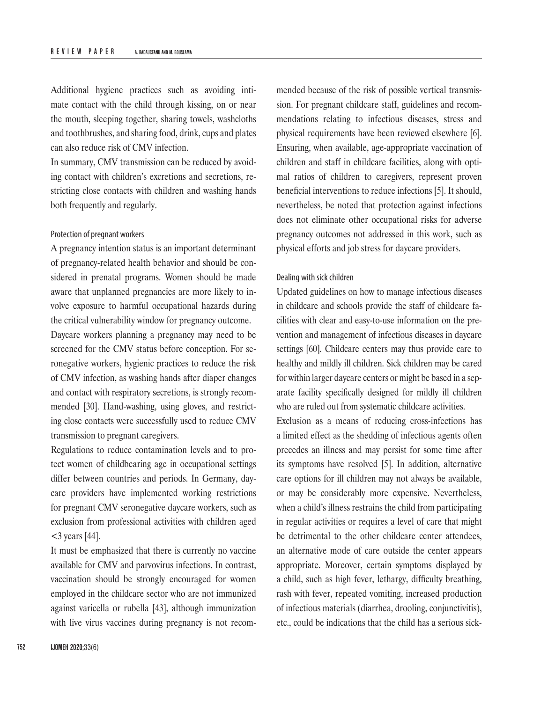Additional hygiene practices such as avoiding intimate contact with the child through kissing, on or near the mouth, sleeping together, sharing towels, washcloths and toothbrushes, and sharing food, drink, cups and plates can also reduce risk of CMV infection.

In summary, CMV transmission can be reduced by avoiding contact with children's excretions and secretions, restricting close contacts with children and washing hands both frequently and regularly.

#### Protection of pregnant workers

A pregnancy intention status is an important determinant of pregnancy-related health behavior and should be considered in prenatal programs. Women should be made aware that unplanned pregnancies are more likely to involve exposure to harmful occupational hazards during the critical vulnerability window for pregnancy outcome. Daycare workers planning a pregnancy may need to be screened for the CMV status before conception. For seronegative workers, hygienic practices to reduce the risk of CMV infection, as washing hands after diaper changes and contact with respiratory secretions, is strongly recommended [30]. Hand-washing, using gloves, and restricting close contacts were successfully used to reduce CMV transmission to pregnant caregivers.

Regulations to reduce contamination levels and to protect women of childbearing age in occupational settings differ between countries and periods. In Germany, daycare providers have implemented working restrictions for pregnant CMV seronegative daycare workers, such as exclusion from professional activities with children aged  $<$ 3 years [44].

It must be emphasized that there is currently no vaccine available for CMV and parvovirus infections. In contrast, vaccination should be strongly encouraged for women employed in the childcare sector who are not immunized against varicella or rubella [43], although immunization with live virus vaccines during pregnancy is not recommended because of the risk of possible vertical transmission. For pregnant childcare staff, guidelines and recommendations relating to infectious diseases, stress and physical requirements have been reviewed elsewhere [6]. Ensuring, when available, age-appropriate vaccination of children and staff in childcare facilities, along with optimal ratios of children to caregivers, represent proven beneficial interventions to reduce infections [5]. It should, nevertheless, be noted that protection against infections does not eliminate other occupational risks for adverse pregnancy outcomes not addressed in this work, such as physical efforts and job stress for daycare providers.

# Dealing with sick children

Updated guidelines on how to manage infectious diseases in childcare and schools provide the staff of childcare facilities with clear and easy-to-use information on the prevention and management of infectious diseases in daycare settings [60]. Childcare centers may thus provide care to healthy and mildly ill children. Sick children may be cared for within larger daycare centers or might be based in a separate facility specifically designed for mildly ill children who are ruled out from systematic childcare activities.

Exclusion as a means of reducing cross-infections has a limited effect as the shedding of infectious agents often precedes an illness and may persist for some time after its symptoms have resolved [5]. In addition, alternative care options for ill children may not always be available, or may be considerably more expensive. Nevertheless, when a child's illness restrains the child from participating in regular activities or requires a level of care that might be detrimental to the other childcare center attendees, an alternative mode of care outside the center appears appropriate. Moreover, certain symptoms displayed by a child, such as high fever, lethargy, difficulty breathing, rash with fever, repeated vomiting, increased production of infectious materials (diarrhea, drooling, conjunctivitis), etc., could be indications that the child has a serious sick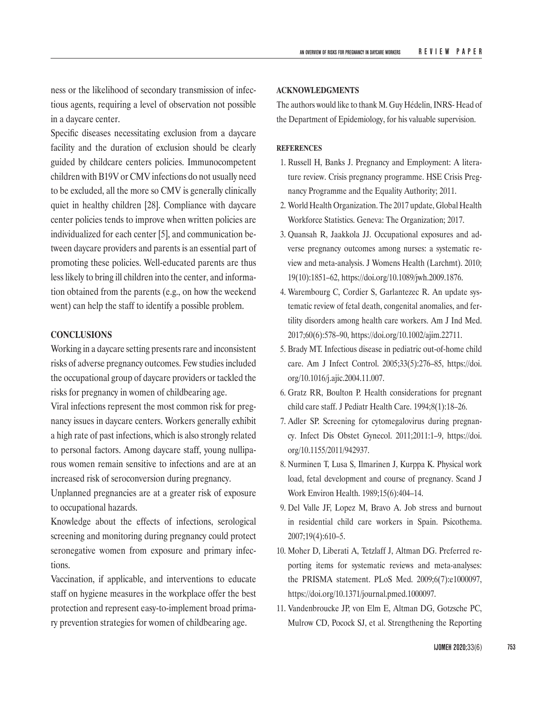ness or the likelihood of secondary transmission of infectious agents, requiring a level of observation not possible in a daycare center.

Specific diseases necessitating exclusion from a daycare facility and the duration of exclusion should be clearly guided by childcare centers policies. Immunocompetent children with B19V or CMV infections do not usually need to be excluded, all the more so CMV is generally clinically quiet in healthy children [28]. Compliance with daycare center policies tends to improve when written policies are individualized for each center [5], and communication between daycare providers and parents is an essential part of promoting these policies. Well-educated parents are thus less likely to bring ill children into the center, and information obtained from the parents (e.g., on how the weekend went) can help the staff to identify a possible problem.

# **CONCLUSIONS**

Working in a daycare setting presents rare and inconsistent risks of adverse pregnancy outcomes. Few studies included the occupational group of daycare providers or tackled the risks for pregnancy in women of childbearing age.

Viral infections represent the most common risk for pregnancy issues in daycare centers. Workers generally exhibit a high rate of past infections, which is also strongly related to personal factors. Among daycare staff, young nulliparous women remain sensitive to infections and are at an increased risk of seroconversion during pregnancy.

Unplanned pregnancies are at a greater risk of exposure to occupational hazards.

Knowledge about the effects of infections, serological screening and monitoring during pregnancy could protect seronegative women from exposure and primary infections.

Vaccination, if applicable, and interventions to educate staff on hygiene measures in the workplace offer the best protection and represent easy-to-implement broad primary prevention strategies for women of childbearing age.

#### **ACKNOWLEDGMENTS**

The authors would like to thank M. Guy Hédelin, INRS- Head of the Department of Epidemiology, for his valuable supervision.

#### **REFERENCES**

- 1. Russell H, Banks J. Pregnancy and Employment: A literature review. Crisis pregnancy programme. HSE Crisis Pregnancy Programme and the Equality Authority; 2011.
- 2. World Health Organization. The 2017 update, Global Health Workforce Statistics. Geneva: The Organization; 2017.
- 3. Quansah R, Jaakkola JJ. Occupational exposures and adverse pregnancy outcomes among nurses: a systematic review and meta-analysis. J Womens Health (Larchmt). 2010; 19(10):1851–62, <https://doi.org/10.1089/jwh.2009.1876>.
- 4. Warembourg C, Cordier S, Garlantezec R. An update systematic review of fetal death, congenital anomalies, and fertility disorders among health care workers. Am J Ind Med. 2017;60(6):578–90, <https://doi.org/10.1002/ajim.22711>.
- 5. Brady MT. Infectious disease in pediatric out-of-home child care. Am J Infect Control. 2005;33(5):276–85, [https://doi.](https://doi.org/10.1016/j.ajic.2004.11.007) [org/10.1016/j.ajic.2004.11.007](https://doi.org/10.1016/j.ajic.2004.11.007).
- 6. Gratz RR, Boulton P. Health considerations for pregnant child care staff. J Pediatr Health Care. 1994;8(1):18–26.
- 7. Adler SP. Screening for cytomegalovirus during pregnancy. Infect Dis Obstet Gynecol. 2011;2011:1–9, [https://doi.](https://doi.org/10.1155/2011/942937) [org/10.1155/2011/942937](https://doi.org/10.1155/2011/942937).
- 8. Nurminen T, Lusa S, Ilmarinen J, Kurppa K. Physical work load, fetal development and course of pregnancy. Scand J Work Environ Health. 1989;15(6):404–14.
- 9. Del Valle JF, Lopez M, Bravo A. Job stress and burnout in residential child care workers in Spain. Psicothema. 2007;19(4):610–5.
- 10. Moher D, Liberati A, Tetzlaff J, Altman DG. Preferred reporting items for systematic reviews and meta-analyses: the PRISMA statement. PLoS Med. 2009;6(7):e1000097, <https://doi.org/10.1371/journal.pmed.1000097>.
- 11. Vandenbroucke JP, von Elm E, Altman DG, Gotzsche PC, Mulrow CD, Pocock SJ, et al. Strengthening the Reporting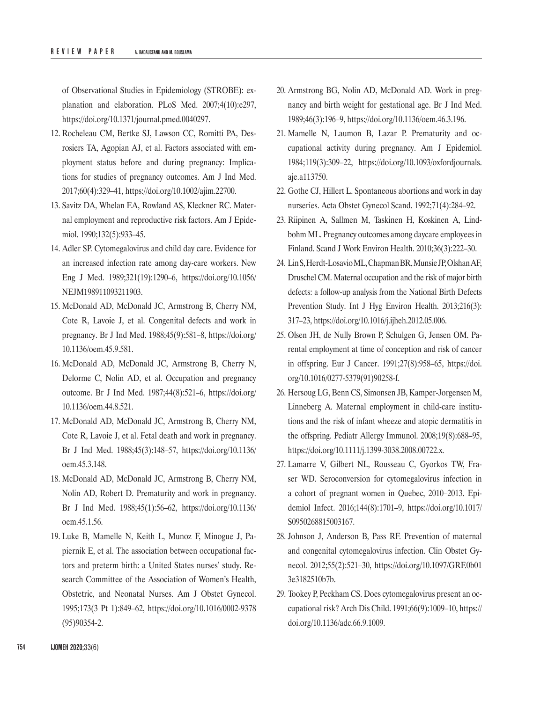of Observational Studies in Epidemiology (STROBE): explanation and elaboration. PLoS Med. 2007;4(10):e297, <https://doi.org/10.1371/journal.pmed.0040297>.

- 12. Rocheleau CM, Bertke SJ, Lawson CC, Romitti PA, Desrosiers TA, Agopian AJ, et al. Factors associated with employment status before and during pregnancy: Implications for studies of pregnancy outcomes. Am J Ind Med. 2017;60(4):329–41, <https://doi.org/10.1002/ajim.22700>.
- 13. Savitz DA, Whelan EA, Rowland AS, Kleckner RC. Maternal employment and reproductive risk factors. Am J Epidemiol. 1990;132(5):933–45.
- 14. Adler SP. Cytomegalovirus and child day care. Evidence for an increased infection rate among day-care workers. New Eng J Med. 1989;321(19):1290–6, [https://doi.org/10.1056/](https://doi.org/10.1056/NEJM198911093211903) [NEJM198911093211903](https://doi.org/10.1056/NEJM198911093211903).
- 15. McDonald AD, McDonald JC, Armstrong B, Cherry NM, Cote R, Lavoie J, et al. Congenital defects and work in pregnancy. Br J Ind Med. 1988;45(9):581–8, [https://doi.org/](https://doi.org/10.1136/oem.45.9.581) [10.1136/oem.45.9.581](https://doi.org/10.1136/oem.45.9.581).
- 16. McDonald AD, McDonald JC, Armstrong B, Cherry N, Delorme C, Nolin AD, et al. Occupation and pregnancy outcome. Br J Ind Med. 1987;44(8):521–6, [https://doi.org/](https://doi.org/10.1136/oem.44.8.521) [10.1136/oem.44.8.521](https://doi.org/10.1136/oem.44.8.521).
- 17. McDonald AD, McDonald JC, Armstrong B, Cherry NM, Cote R, Lavoie J, et al. Fetal death and work in pregnancy. Br J Ind Med. 1988;45(3):148–57, [https://doi.org/10.1136/](https://doi.org/10.1136/oem.45.3.148) [oem.45.3.148](https://doi.org/10.1136/oem.45.3.148).
- 18. McDonald AD, McDonald JC, Armstrong B, Cherry NM, Nolin AD, Robert D. Prematurity and work in pregnancy. Br J Ind Med. 1988;45(1):56–62, [https://doi.org/10.1136/](https://doi.org/10.1136/oem.45.1.56) [oem.45.1.56.](https://doi.org/10.1136/oem.45.1.56)
- 19. Luke B, Mamelle N, Keith L, Munoz F, Minogue J, Papiernik E, et al. The association between occupational factors and preterm birth: a United States nurses' study. Research Committee of the Association of Women's Health, Obstetric, and Neonatal Nurses. Am J Obstet Gynecol. 1995;173(3 Pt 1):849–62, [https://doi.org/10.1016/0002-9378](https://doi.org/10.1016/0002-9378(95)90354-2) [\(95\)90354-2](https://doi.org/10.1016/0002-9378(95)90354-2).
- 20. Armstrong BG, Nolin AD, McDonald AD. Work in pregnancy and birth weight for gestational age. Br J Ind Med. 1989;46(3):196–9, <https://doi.org/10.1136/oem.46.3.196>.
- 21. Mamelle N, Laumon B, Lazar P. Prematurity and occupational activity during pregnancy. Am J Epidemiol. 1984;119(3):309–22, [https://doi.org/10.1093/oxfordjournals.](https://doi.org/10.1093/oxfordjournals.aje.a113750) [aje.a113750](https://doi.org/10.1093/oxfordjournals.aje.a113750).
- 22. Gothe CJ, Hillert L. Spontaneous abortions and work in day nurseries. Acta Obstet Gynecol Scand. 1992;71(4):284–92.
- 23. Riipinen A, Sallmen M, Taskinen H, Koskinen A, Lindbohm ML. Pregnancy outcomes among daycare employees in Finland. Scand J Work Environ Health. 2010;36(3):222–30.
- 24. LinS, Herdt-LosavioML, ChapmanBR, MunsieJP, OlshanAF, Druschel CM. Maternal occupation and the risk of major birth defects: a follow-up analysis from the National Birth Defects Prevention Study. Int J Hyg Environ Health. 2013;216(3): 317–23, <https://doi.org/10.1016/j.ijheh.2012.05.006>.
- 25. Olsen JH, de Nully Brown P, Schulgen G, Jensen OM. Parental employment at time of conception and risk of cancer in offspring. Eur J Cancer. 1991;27(8):958–65, [https://doi.](https://doi.org/10.1016/0277-5379(91)90258-f) [org/10.1016/0277-5379\(91\)90258-f](https://doi.org/10.1016/0277-5379(91)90258-f).
- 26. Hersoug LG, Benn CS, Simonsen JB, Kamper-Jorgensen M, Linneberg A. Maternal employment in child-care institutions and the risk of infant wheeze and atopic dermatitis in the offspring. Pediatr Allergy Immunol. 2008;19(8):688–95, <https://doi.org/10.1111/j.1399-3038.2008.00722.x>.
- 27. Lamarre V, Gilbert NL, Rousseau C, Gyorkos TW, Fraser WD. Seroconversion for cytomegalovirus infection in a cohort of pregnant women in Quebec, 2010–2013. Epidemiol Infect. 2016;144(8):1701–9, [https://doi.org/10.1017/](https://doi.org/10.1017/S0950268815003167) [S0950268815003167](https://doi.org/10.1017/S0950268815003167).
- 28. Johnson J, Anderson B, Pass RF. Prevention of maternal and congenital cytomegalovirus infection. Clin Obstet Gynecol. 2012;55(2):521–30, [https://doi.org/10.1097/GRF.0b01](https://doi.org/10.1097/GRF.0b013e3182510b7b) [3e3182510b7b](https://doi.org/10.1097/GRF.0b013e3182510b7b).
- 29. Tookey P, Peckham CS. Does cytomegalovirus present an occupational risk? Arch Dis Child. 1991;66(9):1009–10, [https://](https://doi.org/10.1136/adc.66.9.1009) [doi.org/10.1136/adc.66.9.1009](https://doi.org/10.1136/adc.66.9.1009).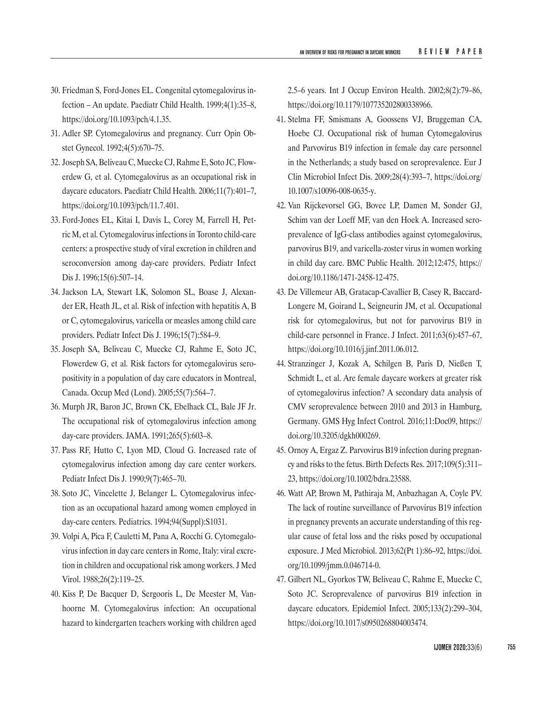- 30. Friedman S, Ford-Jones EL. Congenital cytomegalovirus infection – An update. Paediatr Child Health. 1999;4(1):35–8, <https://doi.org/10.1093/pch/4.1.35>.
- 31. Adler SP. Cytomegalovirus and pregnancy. Curr Opin Obstet Gynecol. 1992;4(5):670–75.
- 32. Joseph SA, Beliveau C, Muecke CJ, Rahme E, Soto JC, Flowerdew G, et al. Cytomegalovirus as an occupational risk in daycare educators. Paediatr Child Health. 2006;11(7):401–7, <https://doi.org/10.1093/pch/11.7.401>.
- 33. Ford-Jones EL, Kitai I, Davis L, Corey M, Farrell H, Petric M, et al. Cytomegalovirus infections in Toronto child-care centers: a prospective study of viral excretion in children and seroconversion among day-care providers. Pediatr Infect Dis J. 1996;15(6):507–14.
- 34. Jackson LA, Stewart LK, Solomon SL, Boase J, Alexander ER, Heath JL, et al. Risk of infection with hepatitis A, B or C, cytomegalovirus, varicella or measles among child care providers. Pediatr Infect Dis J. 1996;15(7):584–9.
- 35. Joseph SA, Beliveau C, Muecke CJ, Rahme E, Soto JC, Flowerdew G, et al. Risk factors for cytomegalovirus seropositivity in a population of day care educators in Montreal, Canada. Occup Med (Lond). 2005;55(7):564–7.
- 36. Murph JR, Baron JC, Brown CK, Ebelhack CL, Bale JF Jr. The occupational risk of cytomegalovirus infection among day-care providers. JAMA. 1991;265(5):603–8.
- 37. Pass RF, Hutto C, Lyon MD, Cloud G. Increased rate of cytomegalovirus infection among day care center workers. Pediatr Infect Dis J. 1990;9(7):465–70.
- 38. Soto JC, Vincelette J, Belanger L. Cytomegalovirus infection as an occupational hazard among women employed in day-care centers. Pediatrics. 1994;94(Suppl):S1031.
- 39. Volpi A, Pica F, Cauletti M, Pana A, Rocchi G. Cytomegalovirus infection in day care centers in Rome, Italy: viral excretion in children and occupational risk among workers. J Med Virol. 1988;26(2):119–25.
- 40. Kiss P, De Bacquer D, Sergooris L, De Meester M, Vanhoorne M. Cytomegalovirus infection: An occupational hazard to kindergarten teachers working with children aged

2.5–6 years. Int J Occup Environ Health. 2002;8(2):79–86, <https://doi.org/10.1179/107735202800338966>.

- 41. Stelma FF, Smismans A, Goossens VJ, Bruggeman CA, Hoebe CJ. Occupational risk of human Cytomegalovirus and Parvovirus B19 infection in female day care personnel in the Netherlands; a study based on seroprevalence. Eur J Clin Microbiol Infect Dis. 2009;28(4):393–7, [https://doi.org/](https://doi.org/10.1007/s10096-008-0635-y) [10.1007/s10096-008-0635-y](https://doi.org/10.1007/s10096-008-0635-y).
- 42. Van Rijckevorsel GG, Bovee LP, Damen M, Sonder GJ, Schim van der Loeff MF, van den Hoek A. Increased seroprevalence of IgG-class antibodies against cytomegalovirus, parvovirus B19, and varicella-zoster virus in women working in child day care. BMC Public Health. 2012;12:475, [https://](https://doi.org/10.1186/1471-2458-12-475) [doi.org/10.1186/1471-2458-12-475](https://doi.org/10.1186/1471-2458-12-475).
- 43. De Villemeur AB, Gratacap-Cavallier B, Casey R, Baccard-Longere M, Goirand L, Seigneurin JM, et al. Occupational risk for cytomegalovirus, but not for parvovirus B19 in child-care personnel in France. J Infect. 2011;63(6):457–67, <https://doi.org/10.1016/j.jinf.2011.06.012>.
- 44. Stranzinger J, Kozak A, Schilgen B, Paris D, Nießen T, Schmidt L, et al. Are female daycare workers at greater risk of cytomegalovirus infection? A secondary data analysis of CMV seroprevalence between 2010 and 2013 in Hamburg, Germany. GMS Hyg Infect Control. 2016;11:Doc09, [https://](https://doi.org/10.3205/dgkh000269) [doi.org/10.3205/dgkh000269](https://doi.org/10.3205/dgkh000269).
- 45. Ornoy A, Ergaz Z. Parvovirus B19 infection during pregnancy and risks to the fetus. Birth Defects Res. 2017;109(5):311– 23, <https://doi.org/10.1002/bdra.23588>.
- 46. Watt AP, Brown M, Pathiraja M, Anbazhagan A, Coyle PV. The lack of routine surveillance of Parvovirus B19 infection in pregnancy prevents an accurate understanding of this regular cause of fetal loss and the risks posed by occupational exposure. J Med Microbiol. 2013;62(Pt 1):86–92, [https://doi.](https://doi.org/10.1099/jmm.0.046714-0) [org/10.1099/jmm.0.046714-0](https://doi.org/10.1099/jmm.0.046714-0).
- 47. Gilbert NL, Gyorkos TW, Beliveau C, Rahme E, Muecke C, Soto JC. Seroprevalence of parvovirus B19 infection in daycare educators. Epidemiol Infect. 2005;133(2):299–304, <https://doi.org/10.1017/s0950268804003474>.